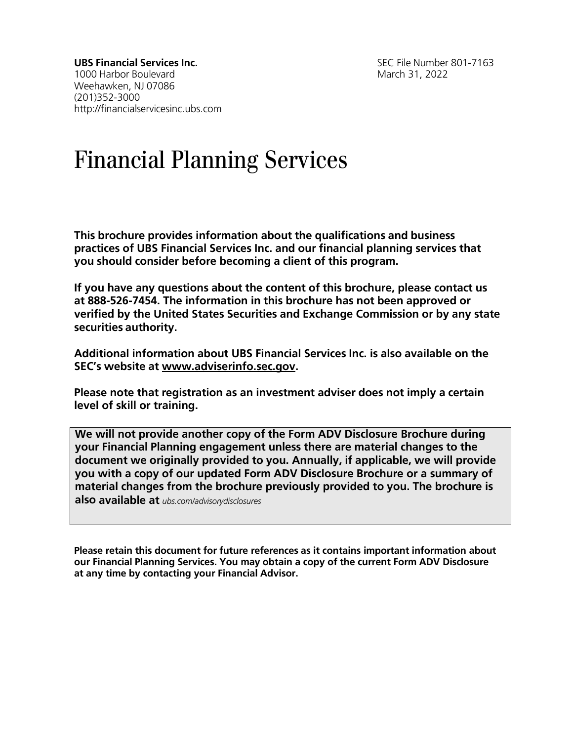**UBS Financial Services Inc.** SEC File Number 801-7163 1000 Harbor Boulevard March 31, 2022 Weehawken, NJ 07086 (201)352-3000 [http://financialservicesinc.ubs.com](http://financialservicesinc.ubs.com/)

# Financial Planning Services

**This brochure provides information about the qualifications and business practices of UBS Financial Services Inc. and our financial planning services that you should consider before becoming a client of this program.**

**If you have any questions about the content of this brochure, please contact us at 888-526-7454. The information in this brochure has not been approved or verified by the United States Securities and Exchange Commission or by any state securities authority.**

**Additional information about UBS Financial Services Inc. is also available on the SEC's website at [www.adviserinfo.sec.gov.](http://www.adviserinfo.sec.gov/)**

**Please note that registration as an investment adviser does not imply a certain level of skill or training.**

**We will not provide another copy of the Form ADV Disclosure Brochure during your Financial Planning engagement unless there are material changes to the document we originally provided to you. Annually, if applicable, we will provide you with a copy of our updated Form ADV Disclosure Brochure or a summary of material changes from the brochure previously provided to you. The brochure is also available at** *ubs.com/advisorydisclosures*

**Please retain this document for future references as it contains important information about our Financial Planning Services. You may obtain a copy of the current Form ADV Disclosure at any time by contacting your Financial Advisor.**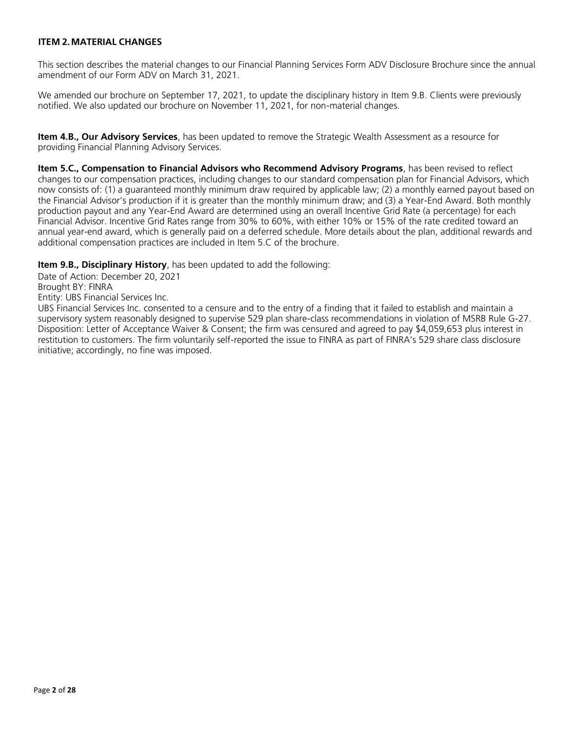# <span id="page-1-0"></span>**ITEM 2.MATERIAL CHANGES**

This section describes the material changes to our Financial Planning Services Form ADV Disclosure Brochure since the annual amendment of our Form ADV on March 31, 2021.

We amended our brochure on September 17, 2021, to update the disciplinary history in Item 9.B. Clients were previously notified. We also updated our brochure on November 11, 2021, for non-material changes.

**Item 4.B., Our Advisory Services**, has been updated to remove the Strategic Wealth Assessment as a resource for providing Financial Planning Advisory Services.

**Item 5.C., Compensation to Financial Advisors who Recommend Advisory Programs**, has been revised to reflect changes to our compensation practices, including changes to our standard compensation plan for Financial Advisors, which now consists of: (1) a guaranteed monthly minimum draw required by applicable law; (2) a monthly earned payout based on the Financial Advisor's production if it is greater than the monthly minimum draw; and (3) a Year-End Award. Both monthly production payout and any Year-End Award are determined using an overall Incentive Grid Rate (a percentage) for each Financial Advisor. Incentive Grid Rates range from 30% to 60%, with either 10% or 15% of the rate credited toward an annual year-end award, which is generally paid on a deferred schedule. More details about the plan, additional rewards and additional compensation practices are included in Item 5.C of the brochure.

**Item 9.B., Disciplinary History**, has been updated to add the following:

Date of Action: December 20, 2021

Brought BY: FINRA

Entity: UBS Financial Services Inc.

UBS Financial Services Inc. consented to a censure and to the entry of a finding that it failed to establish and maintain a supervisory system reasonably designed to supervise 529 plan share-class recommendations in violation of MSRB Rule G-27. Disposition: Letter of Acceptance Waiver & Consent; the firm was censured and agreed to pay \$4,059,653 plus interest in restitution to customers. The firm voluntarily self-reported the issue to FINRA as part of FINRA's 529 share class disclosure initiative; accordingly, no fine was imposed.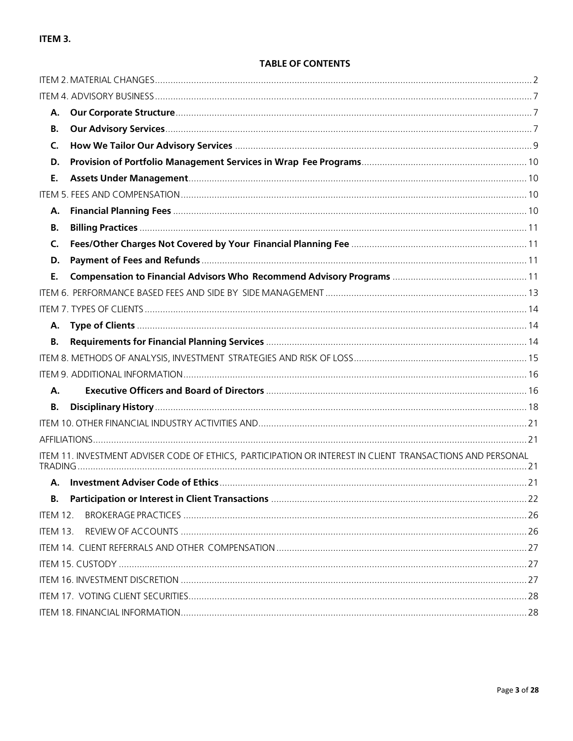# ITEM 3.

| А.              |                                                                                                           |  |
|-----------------|-----------------------------------------------------------------------------------------------------------|--|
| В.              |                                                                                                           |  |
| C.              |                                                                                                           |  |
| D.              |                                                                                                           |  |
| Ε.              |                                                                                                           |  |
|                 |                                                                                                           |  |
| А.              |                                                                                                           |  |
| В.              |                                                                                                           |  |
| $\mathsf{C}$    |                                                                                                           |  |
| D.              |                                                                                                           |  |
| Е.              |                                                                                                           |  |
|                 |                                                                                                           |  |
|                 |                                                                                                           |  |
| А.              |                                                                                                           |  |
| <b>B.</b>       |                                                                                                           |  |
|                 |                                                                                                           |  |
|                 |                                                                                                           |  |
| Α.              |                                                                                                           |  |
| <b>B.</b>       |                                                                                                           |  |
|                 |                                                                                                           |  |
|                 |                                                                                                           |  |
|                 | ITEM 11. INVESTMENT ADVISER CODE OF ETHICS, PARTICIPATION OR INTEREST IN CLIENT TRANSACTIONS AND PERSONAL |  |
| А.              |                                                                                                           |  |
| В.              |                                                                                                           |  |
| <b>ITEM 12.</b> |                                                                                                           |  |
| ITEM 13.        |                                                                                                           |  |
|                 |                                                                                                           |  |
|                 |                                                                                                           |  |
|                 |                                                                                                           |  |
|                 |                                                                                                           |  |
|                 |                                                                                                           |  |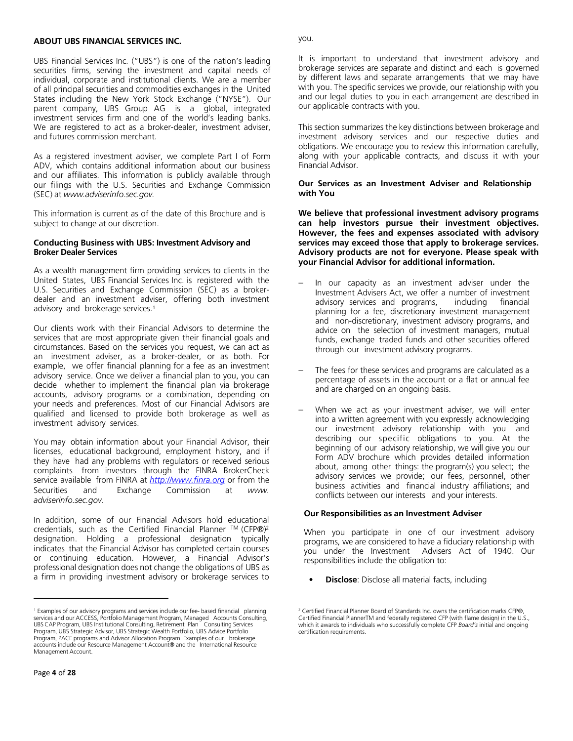#### **ABOUT UBS FINANCIAL SERVICES INC.**

UBS Financial Services Inc. ("UBS") is one of the nation's leading securities firms, serving the investment and capital needs of individual, corporate and institutional clients. We are a member of all principal securities and commodities exchanges in the United States including the New York Stock Exchange ("NYSE"). Our parent company, UBS Group AG is a global, integrated investment services firm and one of the world's leading banks. We are registered to act as a broker-dealer, investment adviser, and futures commission merchant.

As a registered investment adviser, we complete Part I of Form ADV, which contains additional information about our business and our affiliates. This information is publicly available through our filings with the U.S. Securities and Exchange Commission (SEC) at *[www.adviserinfo.sec.gov.](http://www.adviserinfo.sec.gov/)*

This information is current as of the date of this Brochure and is subject to change at our discretion.

#### **Conducting Business with UBS: Investment Advisory and Broker Dealer Services**

As a wealth management firm providing services to clients in the United States, UBS Financial Services Inc. is registered with the U.S. Securities and Exchange Commission (SEC) as a brokerdealer and an investment adviser, offering both investment advisory and brokerage services. 1

Our clients work with their Financial Advisors to determine the services that are most appropriate given their financial goals and circumstances. Based on the services you request, we can act as an investment adviser, as a broker-dealer, or as both. For example, we offer financial planning for a fee as an investment advisory service. Once we deliver a financial plan to you, you can decide whether to implement the financial plan via brokerage accounts, advisory programs or a combination, depending on your needs and preferences. Most of our Financial Advisors are qualified and licensed to provide both brokerage as well as investment advisory services.

You may obtain information about your Financial Advisor, their licenses, educational background, employment history, and if they have had any problems with regulators or received serious complaints from investors through the FINRA BrokerCheck service available from FINRA at *http://www.finra.org* or from the Securities and Exchange Commission at *[www.](http://www/) adviserinfo.sec.gov.*

In addition, some of our Financial Advisors hold educational credentials, such as the Certified Financial Planner TM (CFP®)<sup>2</sup> designation. Holding a professional designation typically indicates that the Financial Advisor has completed certain courses or continuing education. However, a Financial Advisor's professional designation does not change the obligations of UBS as a firm in providing investment advisory or brokerage services to you.

It is important to understand that investment advisory and brokerage services are separate and distinct and each is governed by different laws and separate arrangements that we may have with you. The specific services we provide, our relationship with you and our legal duties to you in each arrangement are described in our applicable contracts with you.

This section summarizes the key distinctions between brokerage and investment advisory services and our respective duties and obligations. We encourage you to review this information carefully, along with your applicable contracts, and discuss it with your Financial Advisor.

#### **Our Services as an Investment Adviser and Relationship with You**

**We believe that professional investment advisory programs can help investors pursue their investment objectives. However, the fees and expenses associated with advisory services may exceed those that apply to brokerage services. Advisory products are not for everyone. Please speak with your Financial Advisor for additional information.** 

- In our capacity as an investment adviser under the Investment Advisers Act, we offer a number of investment advisory services and programs, including financial planning for a fee, discretionary investment management and non-discretionary, investment advisory programs, and advice on the selection of investment managers, mutual funds, exchange traded funds and other securities offered through our investment advisory programs.
- The fees for these services and programs are calculated as a percentage of assets in the account or a flat or annual fee and are charged on an ongoing basis.
- When we act as your investment adviser, we will enter into a written agreement with you expressly acknowledging our investment advisory relationship with you and describing our specific obligations to you. At the beginning of our advisory relationship, we will give you our Form ADV brochure which provides detailed information about, among other things: the program(s) you select; the advisory services we provide; our fees, personnel, other business activities and financial industry affiliations; and conflicts between our interests and your interests.

#### **Our Responsibilities as an Investment Adviser**

When you participate in one of our investment advisory programs, we are considered to have a fiduciary relationship with you under the Investment Advisers Act of 1940. Our responsibilities include the obligation to:

• **Disclose**: Disclose all material facts, including

<sup>1</sup> Examples of our advisory programs and services include our fee- based financial planning services and our ACCESS, Portfolio Management Program, Managed Accounts Consulting, UBS CAP Program, UBS Institutional Consulting, Retirement Plan Consulting Services Program, UBS Strategic Advisor, UBS Strategic Wealth Portfolio, UBS Advice Portfolio Program, PACE programs and Advisor Allocation Program. Examples of our brokerage accounts include our Resource Management Account® and the International Resource Management Account.

<sup>2</sup> Certified Financial Planner Board of Standards Inc. owns the certification marks CFP®, Certified Financial PlannerTM and federally registered CFP (with flame design) in the U.S., which it awards to individuals who successfully complete CFP *Board's* initial and ongoing certification requirements.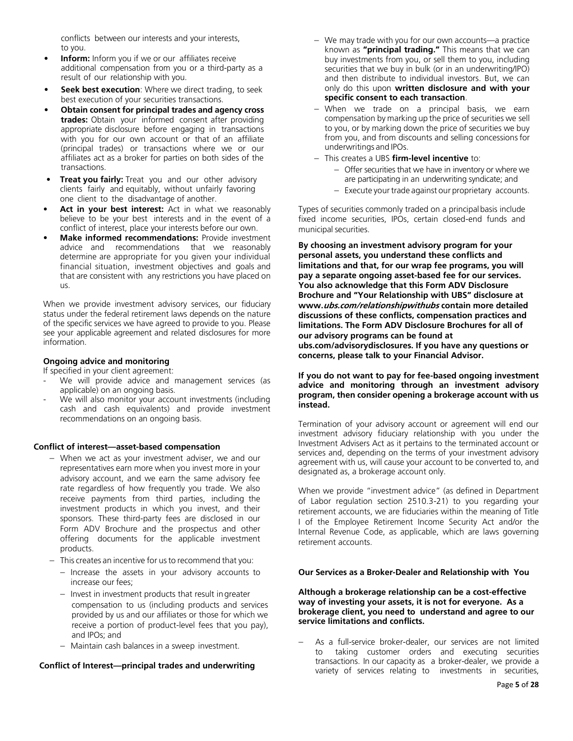conflicts between our interests and your interests, to you.

- **Inform:** Inform you if we or our affiliates receive additional compensation from you or a third-party as a result of our relationship with you.
- **Seek best execution:** Where we direct trading, to seek best execution of your securities transactions.
- **Obtain consent for principal trades and agency cross trades:** Obtain your informed consent after providing appropriate disclosure before engaging in transactions with you for our own account or that of an affiliate (principal trades) or transactions where we or our affiliates act as a broker for parties on both sides of the transactions.
- **Treat you fairly:** Treat you and our other advisory clients fairly and equitably, without unfairly favoring one client to the disadvantage of another.
- Act in your best interest: Act in what we reasonably believe to be your best interests and in the event of a conflict of interest, place your interests before our own.
- **Make informed recommendations:** Provide investment advice and recommendations that we reasonably determine are appropriate for you given your individual financial situation, investment objectives and goals and that are consistent with any restrictions you have placed on us.

When we provide investment advisory services, our fiduciary status under the federal retirement laws depends on the nature of the specific services we have agreed to provide to you. Please see your applicable agreement and related disclosures for more information.

#### **Ongoing advice and monitoring**

If specified in your client agreement:

- We will provide advice and management services (as applicable) on an ongoing basis.
- We will also monitor your account investments (including cash and cash equivalents) and provide investment recommendations on an ongoing basis.

#### **Conflict of interest—asset-based compensation**

- − When we act as your investment adviser, we and our representatives earn more when you invest more in your advisory account, and we earn the same advisory fee rate regardless of how frequently you trade. We also receive payments from third parties, including the investment products in which you invest, and their sponsors. These third-party fees are disclosed in our Form ADV Brochure and the prospectus and other offering documents for the applicable investment products.
- − This creates an incentive for usto recommend that you:
	- − Increase the assets in your advisory accounts to increase our fees;
	- − Invest in investment products that result ingreater compensation to us (including products and services provided by us and our affiliates or those for which we receive a portion of product-level fees that you pay), and IPOs; and
	- − Maintain cash balances in a sweep investment.

#### **Conflict of Interest—principal trades and underwriting**

- − We may trade with you for our own accounts—a practice known as **"principal trading."** This means that we can buy investments from you, or sell them to you, including securities that we buy in bulk (or in an underwriting/IPO) and then distribute to individual investors. But, we can only do this upon **written disclosure and with your specific consent to each transaction**.
- When we trade on a principal basis, we earn compensation by marking up the price of securities we sell to you, or by marking down the price of securities we buy from you, and from discounts and selling concessions for underwritings and IPOs.
- − This creates a UBS **firm-level incentive** to:
	- − Offer securities that we have in inventory or where we are participating in an underwriting syndicate; and
	- − Execute your trade against our proprietary accounts.

Types of securities commonly traded on a principalbasis include fixed income securities, IPOs, certain closed-end funds and municipal securities.

**By choosing an investment advisory program for your personal assets, you understand these conflicts and limitations and that, for our wrap fee programs, you will pay a separate ongoing asset-based fee for our services. You also acknowledge that this Form ADV Disclosure Brochure and "Your Relationship with UBS" disclosure at www.ubs.com/relationshipwithubs contain more detailed discussions of these conflicts, compensation practices and limitations. The Form ADV Disclosure Brochures for all of our advisory programs can be found at ubs.com/advisorydisclosures. If you have any questions or concerns, please talk to your Financial Advisor.**

#### **If you do not want to pay for fee-based ongoing investment advice and monitoring through an investment advisory program, then consider opening a brokerage account with us instead.**

Termination of your advisory account or agreement will end our investment advisory fiduciary relationship with you under the Investment Advisers Act as it pertains to the terminated account or services and, depending on the terms of your investment advisory agreement with us, will cause your account to be converted to, and designated as, a brokerage account only.

When we provide "investment advice" (as defined in Department of Labor regulation section 2510.3-21) to you regarding your retirement accounts, we are fiduciaries within the meaning of Title I of the Employee Retirement Income Security Act and/or the Internal Revenue Code, as applicable, which are laws governing retirement accounts.

#### **Our Services as a Broker-Dealer and Relationship with You**

**Although a brokerage relationship can be a cost-effective way of investing your assets, it is not for everyone. As a brokerage client, you need to understand and agree to our service limitations and conflicts.**

As a full-service broker-dealer, our services are not limited to taking customer orders and executing securities transactions. In our capacity as a broker-dealer, we provide a variety of services relating to investments in securities,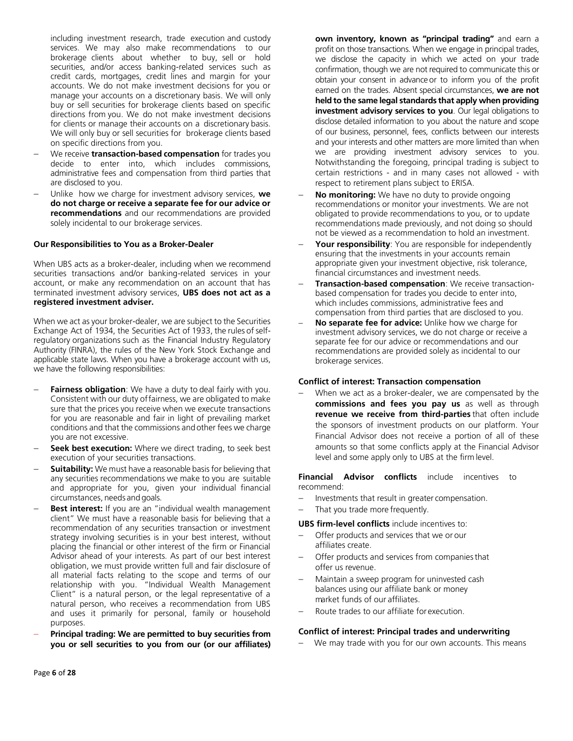including investment research, trade execution and custody services. We may also make recommendations to our brokerage clients about whether to buy, sell or hold securities, and/or access banking-related services such as credit cards, mortgages, credit lines and margin for your accounts. We do not make investment decisions for you or manage your accounts on a discretionary basis. We will only buy or sell securities for brokerage clients based on specific directions from you. We do not make investment decisions for clients or manage their accounts on a discretionary basis. We will only buy or sell securities for brokerage clients based on specific directions from you.

- − We receive **transaction-based compensation** for trades you decide to enter into, which includes commissions, administrative fees and compensation from third parties that are disclosed to you.
- − Unlike how we charge for investment advisory services, **we do not charge or receive a separate fee for our advice or recommendations** and our recommendations are provided solely incidental to our brokerage services.

#### **Our Responsibilities to You as a Broker-Dealer**

When UBS acts as a broker-dealer, including when we recommend securities transactions and/or banking-related services in your account, or make any recommendation on an account that has terminated investment advisory services, **UBS does not act as a registered investment adviser.**

When we act as your broker-dealer, we are subject to the Securities Exchange Act of 1934, the Securities Act of 1933, the rules of selfregulatory organizations such as the Financial Industry Regulatory Authority (FINRA), the rules of the New York Stock Exchange and applicable state laws. When you have a brokerage account with us, we have the following responsibilities:

- Fairness obligation: We have a duty to deal fairly with you. Consistent with our duty offairness, we are obligated to make sure that the prices you receive when we execute transactions for you are reasonable and fair in light of prevailing market conditions and that the commissions andother fees we charge you are not excessive.
- Seek best execution: Where we direct trading, to seek best execution of your securities transactions.
- **Suitability:** We must have a reasonable basis for believing that any securities recommendations we make to you are suitable and appropriate for you, given your individual financial circumstances, needs and goals.
- **Best interest:** If you are an "individual wealth management client" We must have a reasonable basis for believing that a recommendation of any securities transaction or investment strategy involving securities is in your best interest, without placing the financial or other interest of the firm or Financial Advisor ahead of your interests. As part of our best interest obligation, we must provide written full and fair disclosure of all material facts relating to the scope and terms of our relationship with you. "Individual Wealth Management Client" is a natural person, or the legal representative of a natural person, who receives a recommendation from UBS and uses it primarily for personal, family or household purposes.
- − **Principal trading: We are permitted to buy securities from you or sell securities to you from our (or our affiliates)**

**own inventory, known as "principal trading"** and earn a profit on those transactions. When we engage in principal trades, we disclose the capacity in which we acted on your trade confirmation, though we are not required to communicate this or obtain your consent in advance or to inform you of the profit earned on the trades. Absent special circumstances, **we are not held to the same legal standards that apply when providing investment advisory services to you**. Our legal obligations to disclose detailed information to you about the nature and scope of our business, personnel, fees, conflicts between our interests and your interests and other matters are more limited than when we are providing investment advisory services to you. Notwithstanding the foregoing, principal trading is subject to certain restrictions - and in many cases not allowed - with respect to retirement plans subject to ERISA.

- **No monitoring:** We have no duty to provide ongoing recommendations or monitor your investments. We are not obligated to provide recommendations to you, or to update recommendations made previously, and not doing so should not be viewed as a recommendation to hold an investment.
- **Your responsibility:** You are responsible for independently ensuring that the investments in your accounts remain appropriate given your investment objective, risk tolerance, financial circumstances and investment needs.
- − **Transaction-based compensation**: We receive transactionbased compensation for trades you decide to enter into, which includes commissions, administrative fees and compensation from third parties that are disclosed to you.
- − **No separate fee for advice:** Unlike how we charge for investment advisory services, we do not charge or receive a separate fee for our advice or recommendations and our recommendations are provided solely as incidental to our brokerage services.

#### **Conflict of interest: Transaction compensation**

When we act as a broker-dealer, we are compensated by the **commissions and fees you pay us** as well as through **revenue we receive from third-parties** that often include the sponsors of investment products on our platform. Your Financial Advisor does not receive a portion of all of these amounts so that some conflicts apply at the Financial Advisor level and some apply only to UBS at the firm level.

**Financial Advisor conflicts** include incentives to recommend:

- Investments that result in greater compensation.
- That you trade more frequently.

**UBS firm-level conflicts** include incentives to:

- Offer products and services that we or our affiliates create.
- Offer products and services from companies that offer us revenue.
- − Maintain a sweep program for uninvested cash balances using our affiliate bank or money market funds of our affiliates.
- − Route trades to our affiliate for execution.

#### **Conflict of interest: Principal trades and underwriting**

− We may trade with you for our own accounts. This means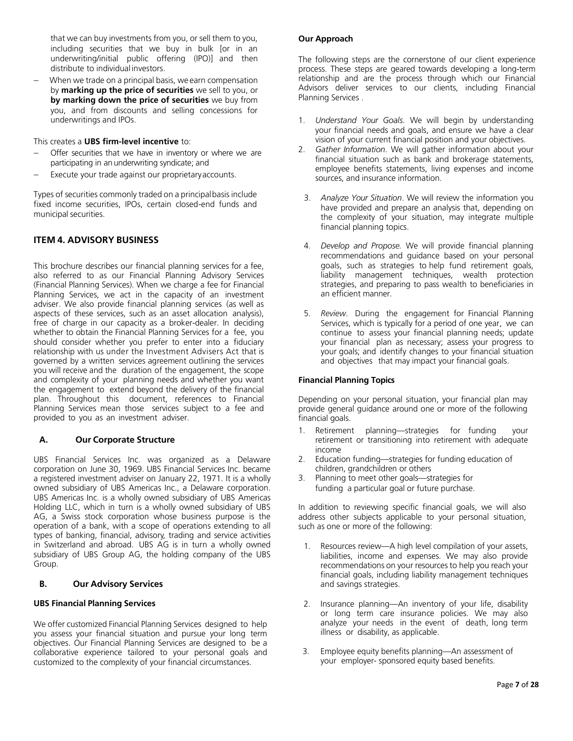that we can buy investments from you, or sell them to you, including securities that we buy in bulk [or in an underwriting/initial public offering (IPO)] and then distribute to individual investors.

When we trade on a principal basis, we earn compensation by **marking up the price of securities** we sell to you, or **by marking down the price of securities** we buy from you, and from discounts and selling concessions for underwritings and IPOs.

This creates a **UBS firm-level incentive** to:

- Offer securities that we have in inventory or where we are participating in anunderwriting syndicate; and
- Execute your trade against our proprietary accounts.

Types of securities commonly traded on a principalbasis include fixed income securities, IPOs, certain closed-end funds and municipal securities.

# <span id="page-6-0"></span>**ITEM 4. ADVISORY BUSINESS**

This brochure describes our financial planning services for a fee, also referred to as our Financial Planning Advisory Services (Financial Planning Services). When we charge a fee for Financial Planning Services, we act in the capacity of an investment adviser. We also provide financial planning services (as well as aspects of these services, such as an asset allocation analysis), free of charge in our capacity as a broker-dealer. In deciding whether to obtain the Financial Planning Services for a fee, you should consider whether you prefer to enter into a fiduciary relationship with us under the Investment Advisers Act that is governed by a written services agreement outlining the services you will receive and the duration of the engagement, the scope and complexity of your planning needs and whether you want the engagement to extend beyond the delivery of the financial plan. Throughout this document, references to Financial Planning Services mean those services subject to a fee and provided to you as an investment adviser.

# <span id="page-6-1"></span>**A. Our Corporate Structure**

UBS Financial Services Inc. was organized as a Delaware corporation on June 30, 1969. UBS Financial Services Inc. became a registered investment adviser on January 22, 1971. It is a wholly owned subsidiary of UBS Americas Inc., a Delaware corporation. UBS Americas Inc. is a wholly owned subsidiary of UBS Americas Holding LLC, which in turn is a wholly owned subsidiary of UBS AG, a Swiss stock corporation whose business purpose is the operation of a bank, with a scope of operations extending to all types of banking, financial, advisory, trading and service activities in Switzerland and abroad. UBS AG is in turn a wholly owned subsidiary of UBS Group AG, the holding company of the UBS Group.

#### <span id="page-6-2"></span>**B. Our Advisory Services**

#### **UBS Financial Planning Services**

We offer customized Financial Planning Services designed to help you assess your financial situation and pursue your long term objectives. Our Financial Planning Services are designed to be a collaborative experience tailored to your personal goals and customized to the complexity of your financial circumstances.

#### **Our Approach**

The following steps are the cornerstone of our client experience process. These steps are geared towards developing a long-term relationship and are the process through which our Financial Advisors deliver services to our clients, including Financial Planning Services .

- 1. *Understand Your Goals*. We will begin by understanding your financial needs and goals, and ensure we have a clear vision of your current financial position and your objectives.
- 2. *Gather Information*. We will gather information about your financial situation such as bank and brokerage statements, employee benefits statements, living expenses and income sources, and insurance information.
- 3. *Analyze Your Situation*. We will review the information you have provided and prepare an analysis that, depending on the complexity of your situation, may integrate multiple financial planning topics.
- 4. *Develop and Propose.* We will provide financial planning recommendations and guidance based on your personal goals, such as strategies to help fund retirement goals, liability management techniques, wealth protection strategies, and preparing to pass wealth to beneficiaries in an efficient manner.
- 5. *Review*. During the engagement for Financial Planning Services, which is typically for a period of one year, we can continue to assess your financial planning needs; update your financial plan as necessary; assess your progress to your goals; and identify changes to your financial situation and objectives that may impact your financial goals.

#### **Financial Planning Topics**

Depending on your personal situation, your financial plan may provide general guidance around one or more of the following financial goals.

- 1. Retirement planning—strategies for funding your retirement or transitioning into retirement with adequate income
- 2. Education funding—strategies for funding education of children, grandchildren or others
- 3. Planning to meet other goals—strategies for funding a particular goal or future purchase.

In addition to reviewing specific financial goals, we will also address other subjects applicable to your personal situation, such as one or more of the following:

- 1. Resources review—A high level compilation of your assets, liabilities, income and expenses. We may also provide recommendations on your resources to help you reach your financial goals, including liability management techniques and savings strategies.
- 2. Insurance planning—An inventory of your life, disability or long term care insurance policies. We may also analyze your needs in the event of death, long term illness or disability, as applicable.
- 3. Employee equity benefits planning—An assessment of your employer- sponsored equity based benefits.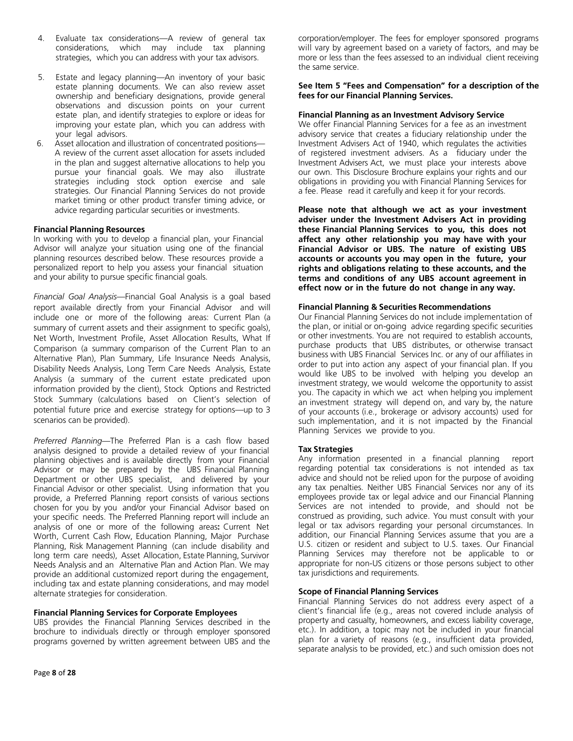- 4. Evaluate tax considerations—A review of general tax considerations, which may include tax planning strategies, which you can address with your tax advisors.
- 5. Estate and legacy planning—An inventory of your basic estate planning documents. We can also review asset ownership and beneficiary designations, provide general observations and discussion points on your current estate plan, and identify strategies to explore or ideas for improving your estate plan, which you can address with your legal advisors.
- 6. Asset allocation and illustration of concentrated positions— A review of the current asset allocation for assets included in the plan and suggest alternative allocations to help you pursue your financial goals. We may also illustrate strategies including stock option exercise and sale strategies. Our Financial Planning Services do not provide market timing or other product transfer timing advice, or advice regarding particular securities or investments.

#### **Financial Planning Resources**

In working with you to develop a financial plan, your Financial Advisor will analyze your situation using one of the financial planning resources described below. These resources provide a personalized report to help you assess your financial situation and your ability to pursue specific financial goals.

*Financial Goal Analysis*—Financial Goal Analysis is a goal based report available directly from your Financial Advisor and will include one or more of the following areas: Current Plan (a summary of current assets and their assignment to specific goals), Net Worth, Investment Profile, Asset Allocation Results, What If Comparison (a summary comparison of the Current Plan to an Alternative Plan), Plan Summary, Life Insurance Needs Analysis, Disability Needs Analysis, Long Term Care Needs Analysis, Estate Analysis (a summary of the current estate predicated upon information provided by the client), Stock Options and Restricted Stock Summary (calculations based on Client's selection of potential future price and exercise strategy for options—up to 3 scenarios can be provided).

*Preferred Planning*—The Preferred Plan is a cash flow based analysis designed to provide a detailed review of your financial planning objectives and is available directly from your Financial Advisor or may be prepared by the UBS Financial Planning Department or other UBS specialist, and delivered by your Financial Advisor or other specialist. Using information that you provide, a Preferred Planning report consists of various sections chosen for you by you and/or your Financial Advisor based on your specific needs. The Preferred Planning report will include an analysis of one or more of the following areas**:** Current Net Worth, Current Cash Flow, Education Planning, Major Purchase Planning, Risk Management Planning (can include disability and long term care needs), Asset Allocation, Estate Planning, Survivor Needs Analysis and an Alternative Plan and Action Plan. We may provide an additional customized report during the engagement, including tax and estate planning considerations, and may model alternate strategies for consideration.

#### **Financial Planning Services for Corporate Employees**

UBS provides the Financial Planning Services described in the brochure to individuals directly or through employer sponsored programs governed by written agreement between UBS and the

#### **See Item 5 "Fees and Compensation" for a description of the fees for our Financial Planning Services.**

#### **Financial Planning as an Investment Advisory Service**

We offer Financial Planning Services for a fee as an investment advisory service that creates a fiduciary relationship under the Investment Advisers Act of 1940, which regulates the activities of registered investment advisers. As a fiduciary under the Investment Advisers Act, we must place your interests above our own. This Disclosure Brochure explains your rights and our obligations in providing you with Financial Planning Services for a fee. Please read it carefully and keep it for your records.

**Please note that although we act as your investment adviser under the Investment Advisers Act in providing these Financial Planning Services to you, this does not affect any other relationship you may have with your Financial Advisor or UBS. The nature of existing UBS accounts or accounts you may open in the future, your rights and obligations relating to these accounts, and the terms and conditions of any UBS account agreement in effect now or in the future do not change in any way.**

#### **Financial Planning & Securities Recommendations**

Our Financial Planning Services do not include implementation of the plan, or initial or on-going advice regarding specific securities or other investments. You are not required to establish accounts, purchase products that UBS distributes, or otherwise transact business with UBS Financial Services Inc. or any of our affiliates in order to put into action any aspect of your financial plan. If you would like UBS to be involved with helping you develop an investment strategy, we would welcome the opportunity to assist you. The capacity in which we act when helping you implement an investment strategy will depend on, and vary by, the nature of your accounts (i.e., brokerage or advisory accounts) used for such implementation, and it is not impacted by the Financial Planning Services we provide to you.

#### **Tax Strategies**

Any information presented in a financial planning report regarding potential tax considerations is not intended as tax advice and should not be relied upon for the purpose of avoiding any tax penalties. Neither UBS Financial Services nor any of its employees provide tax or legal advice and our Financial Planning Services are not intended to provide, and should not be construed as providing, such advice. You must consult with your legal or tax advisors regarding your personal circumstances. In addition, our Financial Planning Services assume that you are a U.S. citizen or resident and subject to U.S. taxes. Our Financial Planning Services may therefore not be applicable to or appropriate for non-US citizens or those persons subject to other tax jurisdictions and requirements.

#### **Scope of Financial Planning Services**

Financial Planning Services do not address every aspect of a client's financial life (e.g., areas not covered include analysis of property and casualty, homeowners, and excess liability coverage, etc.). In addition, a topic may not be included in your financial plan for a variety of reasons (e.g., insufficient data provided, separate analysis to be provided, etc.) and such omission does not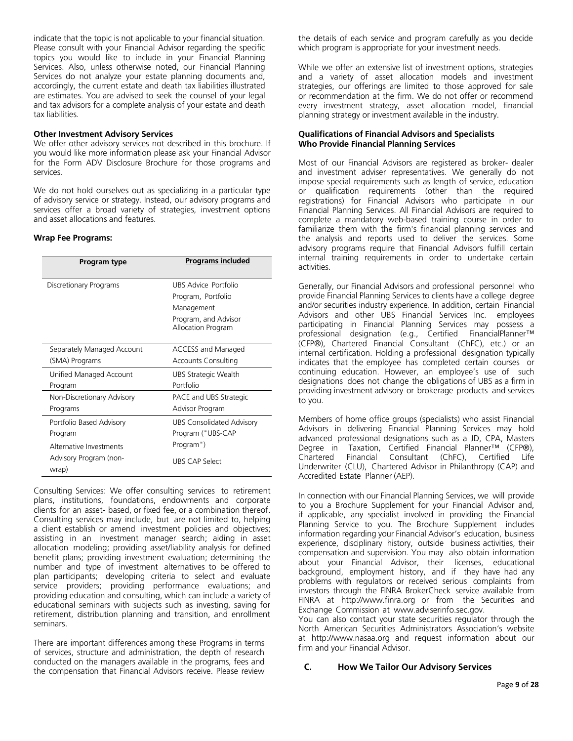indicate that the topic is not applicable to your financial situation. Please consult with your Financial Advisor regarding the specific topics you would like to include in your Financial Planning Services. Also, unless otherwise noted, our Financial Planning Services do not analyze your estate planning documents and, accordingly, the current estate and death tax liabilities illustrated are estimates. You are advised to seek the counsel of your legal and tax advisors for a complete analysis of your estate and death tax liabilities.

#### **Other Investment Advisory Services**

We offer other advisory services not described in this brochure. If you would like more information please ask your Financial Advisor for the Form ADV Disclosure Brochure for those programs and services.

We do not hold ourselves out as specializing in a particular type of advisory service or strategy. Instead, our advisory programs and services offer a broad variety of strategies, investment options and asset allocations and features.

#### **Wrap Fee Programs:**

| Program type                    | <b>Programs included</b>                   |
|---------------------------------|--------------------------------------------|
| Discretionary Programs          | UBS Advice Portfolio                       |
|                                 | Program, Portfolio                         |
|                                 | Management                                 |
|                                 | Program, and Advisor<br>Allocation Program |
| Separately Managed Account      | ACCESS and Managed                         |
| (SMA) Programs                  | Accounts Consulting                        |
| Unified Managed Account         | UBS Strategic Wealth                       |
| Program                         | Portfolio                                  |
| Non-Discretionary Advisory      | PACE and UBS Strategic                     |
| Programs                        | Advisor Program                            |
| Portfolio Based Advisory        | <b>UBS Consolidated Advisory</b>           |
| Program                         | Program ("UBS-CAP                          |
| Alternative Investments         | Program")                                  |
| Advisory Program (non-<br>wrap) | <b>UBS CAP Select</b>                      |

Consulting Services: We offer consulting services to retirement plans, institutions, foundations, endowments and corporate clients for an asset- based, or fixed fee, or a combination thereof. Consulting services may include, but are not limited to, helping a client establish or amend investment policies and objectives; assisting in an investment manager search; aiding in asset allocation modeling; providing asset/liability analysis for defined benefit plans; providing investment evaluation; determining the number and type of investment alternatives to be offered to plan participants; developing criteria to select and evaluate service providers; providing performance evaluations; and providing education and consulting, which can include a variety of educational seminars with subjects such as investing, saving for retirement, distribution planning and transition, and enrollment seminars.

There are important differences among these Programs in terms of services, structure and administration, the depth of research conducted on the managers available in the programs, fees and the compensation that Financial Advisors receive. Please review the details of each service and program carefully as you decide which program is appropriate for your investment needs.

While we offer an extensive list of investment options, strategies and a variety of asset allocation models and investment strategies, our offerings are limited to those approved for sale or recommendation at the firm. We do not offer or recommend every investment strategy, asset allocation model, financial planning strategy or investment available in the industry.

#### **Qualifications of Financial Advisors and Specialists Who Provide Financial Planning Services**

Most of our Financial Advisors are registered as broker- dealer and investment adviser representatives. We generally do not impose special requirements such as length of service, education or qualification requirements (other than the required registrations) for Financial Advisors who participate in our Financial Planning Services. All Financial Advisors are required to complete a mandatory web-based training course in order to familiarize them with the firm's financial planning services and the analysis and reports used to deliver the services. Some advisory programs require that Financial Advisors fulfill certain internal training requirements in order to undertake certain activities.

Generally, our Financial Advisors and professional personnel who provide Financial Planning Services to clients have a college degree and/or securities industry experience. In addition, certain Financial Advisors and other UBS Financial Services Inc. employees participating in Financial Planning Services may possess a professional designation (e.g., Certified FinancialPlanner™ (CFP®), Chartered Financial Consultant (ChFC), etc.) or an internal certification. Holding a professional designation typically indicates that the employee has completed certain courses or continuing education. However, an employee's use of such designations does not change the obligations of UBS as a firm in providing investment advisory or brokerage products and services to you.

Members of home office groups (specialists) who assist Financial Advisors in delivering Financial Planning Services may hold advanced professional designations such as a JD, CPA, Masters Degree in Taxation, Certified Financial Planner™ (CFP®), Chartered Financial Consultant (ChFC), Certified Life Underwriter (CLU), Chartered Advisor in Philanthropy (CAP) and Accredited Estate Planner (AEP).

In connection with our Financial Planning Services, we will provide to you a Brochure Supplement for your Financial Advisor and, if applicable, any specialist involved in providing the Financial Planning Service to you. The Brochure Supplement includes information regarding your Financial Advisor's education, business experience, disciplinary history, outside business activities, their compensation and supervision. You may also obtain information about your Financial Advisor, their licenses, educational background, employment history, and if they have had any problems with regulators or received serious complaints from investors through the FINRA BrokerCheck service available from FINRA at [http://www.finra.org](http://www.finra.org/) or from the Securities and Exchange Commission at [www.adviserinfo.sec.gov](http://www.adviserinfo.sec.gov/).

You can also contact your state securities regulator through the North American Securities Administrators Association's website at [http://www.nasaa.org](http://www.nasaa.org/) and request information about our firm and your Financial Advisor.

#### <span id="page-8-0"></span>**C. How We Tailor Our Advisory Services**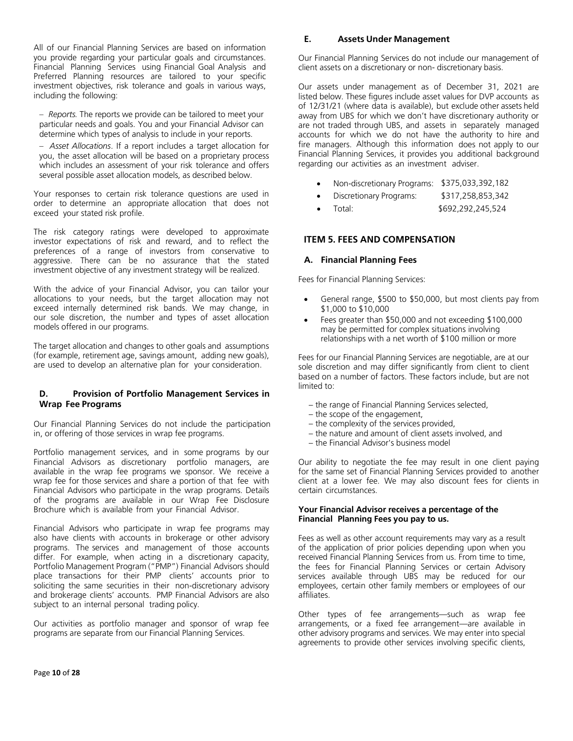All of our Financial Planning Services are based on information you provide regarding your particular goals and circumstances. Financial Planning Services using Financial Goal Analysis and Preferred Planning resources are tailored to your specific investment objectives, risk tolerance and goals in various ways, including the following:

– *Reports.* The reports we provide can be tailored to meet your particular needs and goals. You and your Financial Advisor can determine which types of analysis to include in your reports.

– *Asset Allocations*. If a report includes a target allocation for you, the asset allocation will be based on a proprietary process which includes an assessment of your risk tolerance and offers several possible asset allocation models, as described below.

Your responses to certain risk tolerance questions are used in order to determine an appropriate allocation that does not exceed your stated risk profile.

The risk category ratings were developed to approximate investor expectations of risk and reward, and to reflect the preferences of a range of investors from conservative to aggressive. There can be no assurance that the stated investment objective of any investment strategy will be realized.

With the advice of your Financial Advisor, you can tailor your allocations to your needs, but the target allocation may not exceed internally determined risk bands. We may change, in our sole discretion, the number and types of asset allocation models offered in our programs.

The target allocation and changes to other goals and assumptions (for example, retirement age, savings amount, adding new goals), are used to develop an alternative plan for your consideration.

# <span id="page-9-0"></span>**D. Provision of Portfolio Management Services in Wrap Fee Programs**

Our Financial Planning Services do not include the participation in, or offering of those services in wrap fee programs.

Portfolio management services, and in some programs by our Financial Advisors as discretionary portfolio managers, are available in the wrap fee programs we sponsor. We receive a wrap fee for those services and share a portion of that fee with Financial Advisors who participate in the wrap programs. Details of the programs are available in our Wrap Fee Disclosure Brochure which is available from your Financial Advisor.

Financial Advisors who participate in wrap fee programs may also have clients with accounts in brokerage or other advisory programs. The services and management of those accounts differ. For example, when acting in a discretionary capacity, Portfolio Management Program ("PMP") Financial Advisors should place transactions for their PMP clients' accounts prior to soliciting the same securities in their non-discretionary advisory and brokerage clients' accounts. PMP Financial Advisors are also subject to an internal personal trading policy.

Our activities as portfolio manager and sponsor of wrap fee programs are separate from our Financial Planning Services.

# <span id="page-9-1"></span>**E. Assets Under Management**

Our Financial Planning Services do not include our management of client assets on a discretionary or non- discretionary basis.

Our assets under management as of December 31, 2021 are listed below. These figures include asset values for DVP accounts as of 12/31/21 (where data is available), but exclude other assets held away from UBS for which we don't have discretionary authority or are not traded through UBS, and assets in separately managed accounts for which we do not have the authority to hire and fire managers. Although this information does not apply to our Financial Planning Services, it provides you additional background regarding our activities as an investment adviser.

- Non-discretionary Programs: \$375,033,392,182
- Discretionary Programs: \$317,258,853,342
- Total: \$692,292,245,524

# <span id="page-9-2"></span>**ITEM 5. FEES AND COMPENSATION**

### <span id="page-9-3"></span>**A. Financial Planning Fees**

Fees for Financial Planning Services:

- General range, \$500 to \$50,000, but most clients pay from \$1,000 to \$10,000
- Fees greater than \$50,000 and not exceeding \$100,000 may be permitted for complex situations involving relationships with a net worth of \$100 million or more

Fees for our Financial Planning Services are negotiable, are at our sole discretion and may differ significantly from client to client based on a number of factors. These factors include, but are not limited to:

- the range of Financial Planning Services selected,
- the scope of the engagement,
- the complexity of the services provided,
- the nature and amount of client assets involved, and
- the Financial Advisor's business model

Our ability to negotiate the fee may result in one client paying for the same set of Financial Planning Services provided to another client at a lower fee. We may also discount fees for clients in certain circumstances.

#### **Your Financial Advisor receives a percentage of the Financial Planning Fees you pay to us.**

Fees as well as other account requirements may vary as a result of the application of prior policies depending upon when you received Financial Planning Services from us. From time to time, the fees for Financial Planning Services or certain Advisory services available through UBS may be reduced for our employees, certain other family members or employees of our affiliates.

Other types of fee arrangements—such as wrap fee arrangements, or a fixed fee arrangement—are available in other advisory programs and services. We may enter into special agreements to provide other services involving specific clients,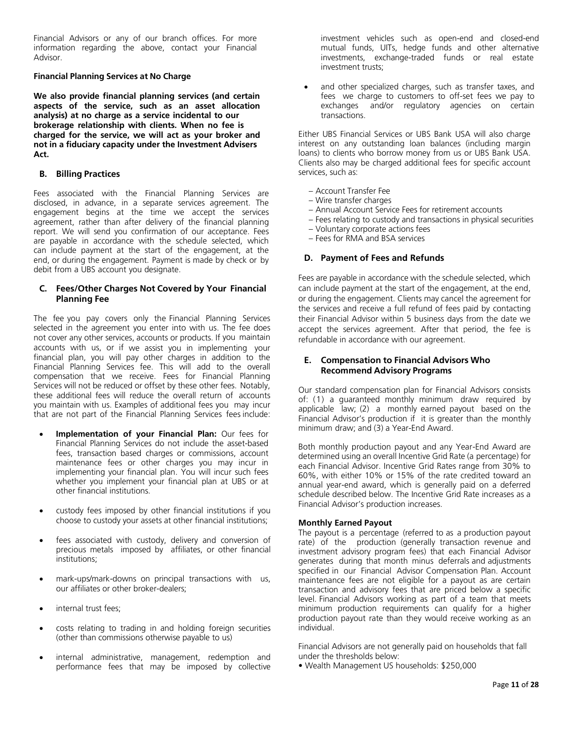Financial Advisors or any of our branch offices. For more information regarding the above, contact your Financial Advisor.

#### **Financial Planning Services at No Charge**

**We also provide financial planning services (and certain aspects of the service, such as an asset allocation analysis) at no charge as a service incidental to our brokerage relationship with clients. When no fee is charged for the service, we will act as your broker and not in a fiduciary capacity under the Investment Advisers Act.**

#### <span id="page-10-0"></span>**B. Billing Practices**

Fees associated with the Financial Planning Services are disclosed, in advance, in a separate services agreement. The engagement begins at the time we accept the services agreement, rather than after delivery of the financial planning report. We will send you confirmation of our acceptance. Fees are payable in accordance with the schedule selected, which can include payment at the start of the engagement, at the end, or during the engagement. Payment is made by check or by debit from a UBS account you designate.

### <span id="page-10-1"></span>**C. Fees/Other Charges Not Covered by Your Financial Planning Fee**

The fee you pay covers only the Financial Planning Services selected in the agreement you enter into with us. The fee does not cover any other services, accounts or products. If you maintain accounts with us, or if we assist you in implementing your financial plan, you will pay other charges in addition to the Financial Planning Services fee. This will add to the overall compensation that we receive. Fees for Financial Planning Services will not be reduced or offset by these other fees. Notably, these additional fees will reduce the overall return of accounts you maintain with us. Examples of additional fees you may incur that are not part of the Financial Planning Services fees include:

- **Implementation of your Financial Plan:** Our fees for Financial Planning Services do not include the asset-based fees, transaction based charges or commissions, account maintenance fees or other charges you may incur in implementing your financial plan. You will incur such fees whether you implement your financial plan at UBS or at other financial institutions.
- custody fees imposed by other financial institutions if you choose to custody your assets at other financial institutions;
- fees associated with custody, delivery and conversion of precious metals imposed by affiliates, or other financial institutions;
- mark-ups/mark-downs on principal transactions with us, our affiliates or other broker-dealers;
- internal trust fees;
- costs relating to trading in and holding foreign securities (other than commissions otherwise payable to us)
- internal administrative, management, redemption and performance fees that may be imposed by collective

investment vehicles such as open-end and closed-end mutual funds, UITs, hedge funds and other alternative investments, exchange-traded funds or real estate investment trusts;

and other specialized charges, such as transfer taxes, and fees we charge to customers to off-set fees we pay to exchanges and/or regulatory agencies on certain transactions.

Either UBS Financial Services or UBS Bank USA will also charge interest on any outstanding loan balances (including margin loans) to clients who borrow money from us or UBS Bank USA. Clients also may be charged additional fees for specific account services, such as:

- Account Transfer Fee
- Wire transfer charges
- Annual Account Service Fees for retirement accounts
- Fees relating to custody and transactions in physical securities
- Voluntary corporate actions fees
- Fees for RMA and BSA services

# <span id="page-10-2"></span>**D. Payment of Fees and Refunds**

Fees are payable in accordance with the schedule selected, which can include payment at the start of the engagement, at the end, or during the engagement. Clients may cancel the agreement for the services and receive a full refund of fees paid by contacting their Financial Advisor within 5 business days from the date we accept the services agreement. After that period, the fee is refundable in accordance with our agreement.

### <span id="page-10-3"></span>**E. Compensation to Financial Advisors Who Recommend Advisory Programs**

Our standard compensation plan for Financial Advisors consists of: (1) a guaranteed monthly minimum draw required by applicable law; (2) a monthly earned payout based on the Financial Advisor's production if it is greater than the monthly minimum draw; and (3) a Year-End Award.

Both monthly production payout and any Year-End Award are determined using an overall Incentive Grid Rate (a percentage) for each Financial Advisor. Incentive Grid Rates range from 30% to 60%, with either 10% or 15% of the rate credited toward an annual year-end award, which is generally paid on a deferred schedule described below. The Incentive Grid Rate increases as a Financial Advisor's production increases.

#### **Monthly Earned Payout**

The payout is a percentage (referred to as a production payout rate) of the production (generally transaction revenue and investment advisory program fees) that each Financial Advisor generates during that month minus deferrals and adjustments specified in our Financial Advisor Compensation Plan. Account maintenance fees are not eligible for a payout as are certain transaction and advisory fees that are priced below a specific level. Financial Advisors working as part of a team that meets minimum production requirements can qualify for a higher production payout rate than they would receive working as an individual.

Financial Advisors are not generally paid on households that fall under the thresholds below:

• Wealth Management US households: \$250,000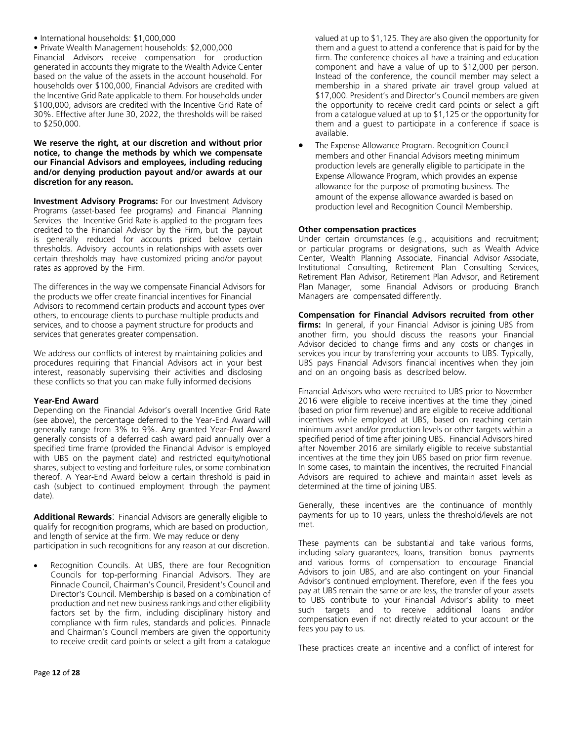# • International households: \$1,000,000

• Private Wealth Management households: \$2,000,000

Financial Advisors receive compensation for production generated in accounts they migrate to the Wealth Advice Center based on the value of the assets in the account household. For households over \$100,000, Financial Advisors are credited with the Incentive Grid Rate applicable to them. For households under \$100,000, advisors are credited with the Incentive Grid Rate of 30%. Effective after June 30, 2022, the thresholds will be raised to \$250,000.

#### **We reserve the right, at our discretion and without prior notice, to change the methods by which we compensate our Financial Advisors and employees, including reducing and/or denying production payout and/or awards at our discretion for any reason.**

**Investment Advisory Programs:** For our Investment Advisory Programs (asset-based fee programs) and Financial Planning Services the Incentive Grid Rate is applied to the program fees credited to the Financial Advisor by the Firm, but the payout is generally reduced for accounts priced below certain thresholds. Advisory accounts in relationships with assets over certain thresholds may have customized pricing and/or payout rates as approved by the Firm.

The differences in the way we compensate Financial Advisors for the products we offer create financial incentives for Financial Advisors to recommend certain products and account types over others, to encourage clients to purchase multiple products and services, and to choose a payment structure for products and services that generates greater compensation.

We address our conflicts of interest by maintaining policies and procedures requiring that Financial Advisors act in your best interest, reasonably supervising their activities and disclosing these conflicts so that you can make fully informed decisions

# **Year-End Award**

Depending on the Financial Advisor's overall Incentive Grid Rate (see above), the percentage deferred to the Year-End Award will generally range from 3% to 9%. Any granted Year-End Award generally consists of a deferred cash award paid annually over a specified time frame (provided the Financial Advisor is employed with UBS on the payment date) and restricted equity/notional shares, subject to vesting and forfeiture rules, or some combination thereof. A Year-End Award below a certain threshold is paid in cash (subject to continued employment through the payment date).

**Additional Rewards**: Financial Advisors are generally eligible to qualify for recognition programs, which are based on production, and length of service at the firm. We may reduce or deny participation in such recognitions for any reason at our discretion.

Recognition Councils. At UBS, there are four Recognition Councils for top-performing Financial Advisors. They are Pinnacle Council, Chairman's Council, President's Council and Director's Council. Membership is based on a combination of production and net new business rankings and other eligibility factors set by the firm, including disciplinary history and compliance with firm rules, standards and policies. Pinnacle and Chairman's Council members are given the opportunity to receive credit card points or select a gift from a catalogue valued at up to \$1,125. They are also given the opportunity for them and a guest to attend a conference that is paid for by the firm. The conference choices all have a training and education component and have a value of up to \$12,000 per person. Instead of the conference, the council member may select a membership in a shared private air travel group valued at \$17,000. President's and Director's Council members are given the opportunity to receive credit card points or select a gift from a catalogue valued at up to \$1,125 or the opportunity for them and a guest to participate in a conference if space is available.

• The Expense Allowance Program. Recognition Council members and other Financial Advisors meeting minimum production levels are generally eligible to participate in the Expense Allowance Program, which provides an expense allowance for the purpose of promoting business. The amount of the expense allowance awarded is based on production level and Recognition Council Membership.

# **Other compensation practices**

Under certain circumstances (e.g., acquisitions and recruitment; or particular programs or designations, such as Wealth Advice Center, Wealth Planning Associate, Financial Advisor Associate, Institutional Consulting, Retirement Plan Consulting Services, Retirement Plan Advisor, Retirement Plan Advisor, and Retirement Plan Manager, some Financial Advisors or producing Branch Managers are compensated differently.

**Compensation for Financial Advisors recruited from other firms:** In general, if your Financial Advisor is joining UBS from another firm, you should discuss the reasons your Financial Advisor decided to change firms and any costs or changes in services you incur by transferring your accounts to UBS. Typically, UBS pays Financial Advisors financial incentives when they join and on an ongoing basis as described below.

Financial Advisors who were recruited to UBS prior to November 2016 were eligible to receive incentives at the time they joined (based on prior firm revenue) and are eligible to receive additional incentives while employed at UBS, based on reaching certain minimum asset and/or production levels or other targets within a specified period of time after joining UBS. Financial Advisors hired after November 2016 are similarly eligible to receive substantial incentives at the time they join UBS based on prior firm revenue. In some cases, to maintain the incentives, the recruited Financial Advisors are required to achieve and maintain asset levels as determined at the time of joining UBS.

Generally, these incentives are the continuance of monthly payments for up to 10 years, unless the threshold/levels are not met.

These payments can be substantial and take various forms, including salary guarantees, loans, transition bonus payments and various forms of compensation to encourage Financial Advisors to join UBS, and are also contingent on your Financial Advisor's continued employment. Therefore, even if the fees you pay at UBS remain the same or are less, the transfer of your assets to UBS contribute to your Financial Advisor's ability to meet such targets and to receive additional loans and/or compensation even if not directly related to your account or the fees you pay to us.

These practices create an incentive and a conflict of interest for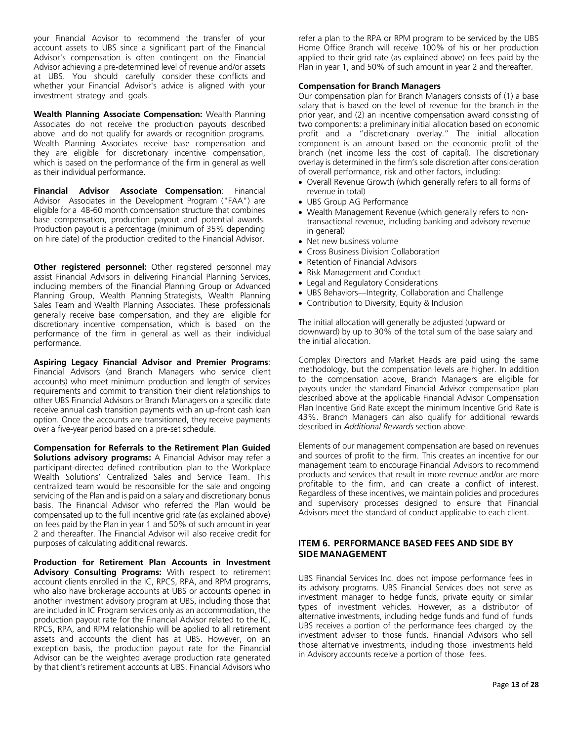your Financial Advisor to recommend the transfer of your account assets to UBS since a significant part of the Financial Advisor's compensation is often contingent on the Financial Advisor achieving a pre-determined level of revenue and/or assets at UBS. You should carefully consider these conflicts and whether your Financial Advisor's advice is aligned with your investment strategy and goals.

**Wealth Planning Associate Compensation:** Wealth Planning Associates do not receive the production payouts described above and do not qualify for awards or recognition programs*.* Wealth Planning Associates receive base compensation and they are eligible for discretionary incentive compensation, which is based on the performance of the firm in general as well as their individual performance.

**Financial Advisor Associate Compensation**: Financial Advisor Associates in the Development Program ("FAA") are eligible for a 48-60 month compensation structure that combines base compensation, production payout and potential awards. Production payout is a percentage (minimum of 35% depending on hire date) of the production credited to the Financial Advisor.

**Other registered personnel:** Other registered personnel may assist Financial Advisors in delivering Financial Planning Services, including members of the Financial Planning Group or Advanced Planning Group, Wealth Planning Strategists, Wealth Planning Sales Team and Wealth Planning Associates. These professionals generally receive base compensation, and they are eligible for discretionary incentive compensation, which is based on the performance of the firm in general as well as their individual performance.

**Aspiring Legacy Financial Advisor and Premier Programs**: Financial Advisors (and Branch Managers who service client accounts) who meet minimum production and length of services requirements and commit to transition their client relationships to other UBS Financial Advisors or Branch Managers on a specific date receive annual cash transition payments with an up-front cash loan option. Once the accounts are transitioned, they receive payments over a five-year period based on a pre-set schedule.

**Compensation for Referrals to the Retirement Plan Guided Solutions advisory programs:** A Financial Advisor may refer a participant-directed defined contribution plan to the Workplace Wealth Solutions' Centralized Sales and Service Team. This centralized team would be responsible for the sale and ongoing servicing of the Plan and is paid on a salary and discretionary bonus basis. The Financial Advisor who referred the Plan would be compensated up to the full incentive grid rate (as explained above) on fees paid by the Plan in year 1 and 50% of such amount in year 2 and thereafter. The Financial Advisor will also receive credit for purposes of calculating additional rewards.

**Production for Retirement Plan Accounts in Investment Advisory Consulting Programs:** With respect to retirement account clients enrolled in the IC, RPCS, RPA, and RPM programs, who also have brokerage accounts at UBS or accounts opened in another investment advisory program at UBS, including those that are included in IC Program services only as an accommodation, the production payout rate for the Financial Advisor related to the IC, RPCS, RPA, and RPM relationship will be applied to all retirement assets and accounts the client has at UBS. However, on an exception basis, the production payout rate for the Financial Advisor can be the weighted average production rate generated by that client's retirement accounts at UBS. Financial Advisors who refer a plan to the RPA or RPM program to be serviced by the UBS Home Office Branch will receive 100% of his or her production applied to their grid rate (as explained above) on fees paid by the Plan in year 1, and 50% of such amount in year 2 and thereafter.

#### **Compensation for Branch Managers**

Our compensation plan for Branch Managers consists of (1) a base salary that is based on the level of revenue for the branch in the prior year, and (2) an incentive compensation award consisting of two components: a preliminary initial allocation based on economic profit and a "discretionary overlay." The initial allocation component is an amount based on the economic profit of the branch (net income less the cost of capital). The discretionary overlay is determined in the firm's sole discretion after consideration of overall performance, risk and other factors, including:

- Overall Revenue Growth (which generally refers to all forms of revenue in total)
- UBS Group AG Performance
- Wealth Management Revenue (which generally refers to nontransactional revenue, including banking and advisory revenue in general)
- Net new business volume
- Cross Business Division Collaboration
- Retention of Financial Advisors
- Risk Management and Conduct
- Legal and Regulatory Considerations
- UBS Behaviors—Integrity, Collaboration and Challenge
- Contribution to Diversity, Equity & Inclusion

The initial allocation will generally be adjusted (upward or downward) by up to 30% of the total sum of the base salary and the initial allocation.

Complex Directors and Market Heads are paid using the same methodology, but the compensation levels are higher. In addition to the compensation above, Branch Managers are eligible for payouts under the standard Financial Advisor compensation plan described above at the applicable Financial Advisor Compensation Plan Incentive Grid Rate except the minimum Incentive Grid Rate is 43%. Branch Managers can also qualify for additional rewards described in *Additional Rewards* section above.

Elements of our management compensation are based on revenues and sources of profit to the firm. This creates an incentive for our management team to encourage Financial Advisors to recommend products and services that result in more revenue and/or are more profitable to the firm, and can create a conflict of interest. Regardless of these incentives, we maintain policies and procedures and supervisory processes designed to ensure that Financial Advisors meet the standard of conduct applicable to each client.

### <span id="page-12-0"></span>**ITEM 6. PERFORMANCE BASED FEES AND SIDE BY SIDE MANAGEMENT**

UBS Financial Services Inc. does not impose performance fees in its advisory programs. UBS Financial Services does not serve as investment manager to hedge funds, private equity or similar types of investment vehicles. However, as a distributor of alternative investments, including hedge funds and fund of funds UBS receives a portion of the performance fees charged by the investment adviser to those funds. Financial Advisors who sell those alternative investments, including those investments held in Advisory accounts receive a portion of those fees.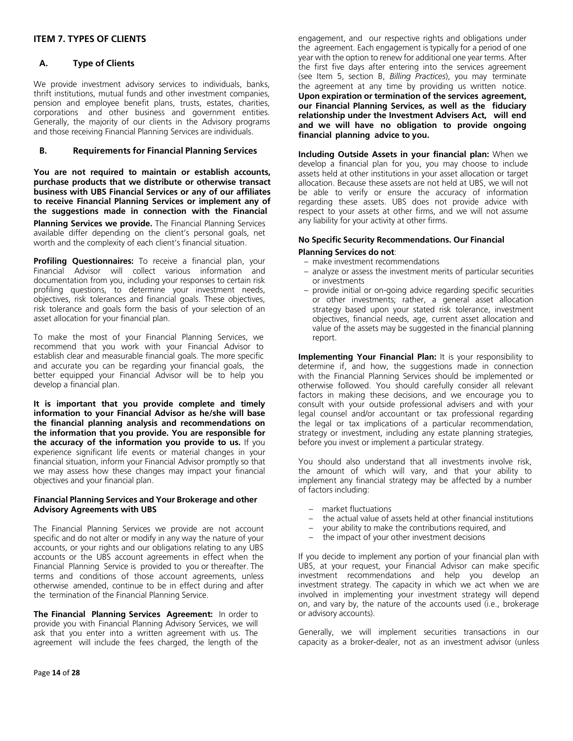# <span id="page-13-0"></span>**ITEM 7. TYPES OF CLIENTS**

### <span id="page-13-1"></span>**A. Type of Clients**

We provide investment advisory services to individuals, banks, thrift institutions, mutual funds and other investment companies, pension and employee benefit plans, trusts, estates, charities, corporations and other business and government entities. Generally, the majority of our clients in the Advisory programs and those receiving Financial Planning Services are individuals.

#### <span id="page-13-2"></span>**B. Requirements for Financial Planning Services**

**You are not required to maintain or establish accounts, purchase products that we distribute or otherwise transact business with UBS Financial Services or any of our affiliates to receive Financial Planning Services or implement any of the suggestions made in connection with the Financial**

**Planning Services we provide.** The Financial Planning Services available differ depending on the client's personal goals, net worth and the complexity of each client's financial situation.

**Profiling Questionnaires:** To receive a financial plan, your Financial Advisor will collect various information and documentation from you, including your responses to certain risk profiling questions, to determine your investment needs, objectives, risk tolerances and financial goals. These objectives, risk tolerance and goals form the basis of your selection of an asset allocation for your financial plan.

To make the most of your Financial Planning Services, we recommend that you work with your Financial Advisor to establish clear and measurable financial goals. The more specific and accurate you can be regarding your financial goals, the better equipped your Financial Advisor will be to help you develop a financial plan.

**It is important that you provide complete and timely information to your Financial Advisor as he/she will base the financial planning analysis and recommendations on the information that you provide. You are responsible for the accuracy of the information you provide to us.** If you experience significant life events or material changes in your financial situation, inform your Financial Advisor promptly so that we may assess how these changes may impact your financial objectives and your financial plan.

#### **Financial Planning Services and Your Brokerage and other Advisory Agreements with UBS**

The Financial Planning Services we provide are not account specific and do not alter or modify in any way the nature of your accounts, or your rights and our obligations relating to any UBS accounts or the UBS account agreements in effect when the Financial Planning Service is provided to you or thereafter. The terms and conditions of those account agreements, unless otherwise amended, continue to be in effect during and after the termination of the Financial Planning Service.

**The Financial Planning Services Agreement:** In order to provide you with Financial Planning Advisory Services, we will ask that you enter into a written agreement with us. The agreement will include the fees charged, the length of the

engagement, and our respective rights and obligations under the agreement. Each engagement is typically for a period of one year with the option to renew for additional one year terms. After the first five days after entering into the services agreement (see Item 5, section B, *Billing Practices*), you may terminate the agreement at any time by providing us written notice. **Upon expiration or termination of the services agreement, our Financial Planning Services, as well as the fiduciary relationship under the Investment Advisers Act, will end and we will have no obligation to provide ongoing financial planning advice to you.**

**Including Outside Assets in your financial plan:** When we develop a financial plan for you, you may choose to include assets held at other institutions in your asset allocation or target allocation. Because these assets are not held at UBS, we will not be able to verify or ensure the accuracy of information regarding these assets. UBS does not provide advice with respect to your assets at other firms, and we will not assume any liability for your activity at other firms.

### **No Specific Security Recommendations. Our Financial**

#### **Planning Services do not**:

- make investment recommendations
- analyze or assess the investment merits of particular securities or investments
- provide initial or on-going advice regarding specific securities or other investments; rather, a general asset allocation strategy based upon your stated risk tolerance, investment objectives, financial needs, age, current asset allocation and value of the assets may be suggested in the financial planning report.

**Implementing Your Financial Plan:** It is your responsibility to determine if, and how, the suggestions made in connection with the Financial Planning Services should be implemented or otherwise followed. You should carefully consider all relevant factors in making these decisions, and we encourage you to consult with your outside professional advisers and with your legal counsel and/or accountant or tax professional regarding the legal or tax implications of a particular recommendation, strategy or investment, including any estate planning strategies, before you invest or implement a particular strategy.

You should also understand that all investments involve risk, the amount of which will vary, and that your ability to implement any financial strategy may be affected by a number of factors including:

- market fluctuations
- the actual value of assets held at other financial institutions
- your ability to make the contributions required, and
- the impact of your other investment decisions

If you decide to implement any portion of your financial plan with UBS, at your request, your Financial Advisor can make specific investment recommendations and help you develop an investment strategy. The capacity in which we act when we are involved in implementing your investment strategy will depend on, and vary by, the nature of the accounts used (i.e., brokerage or advisory accounts).

Generally, we will implement securities transactions in our capacity as a broker-dealer, not as an investment advisor (unless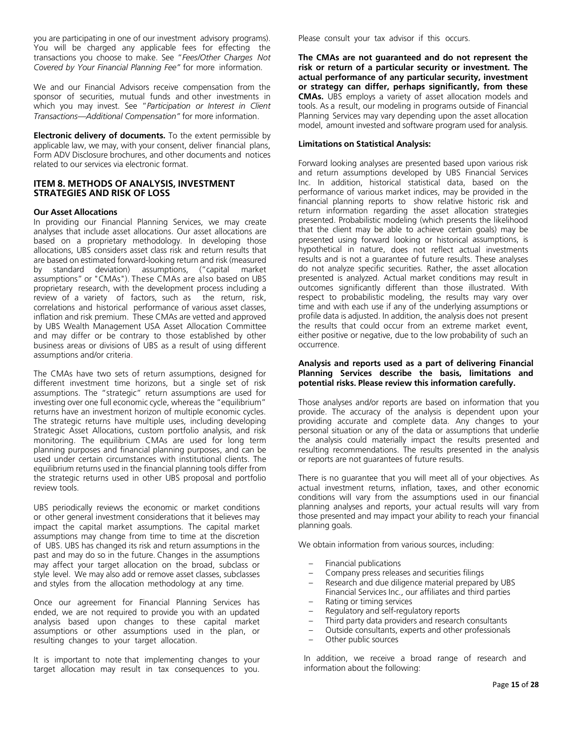you are participating in one of our investment advisory programs). You will be charged any applicable fees for effecting the transactions you choose to make. See "*Fees/Other Charges Not Covered by Your Financial Planning Fee"* for more information*.*

We and our Financial Advisors receive compensation from the sponsor of securities, mutual funds and other investments in which you may invest. See "*Participation or Interest in Client Transactions—Additional Compensation"* for more information.

**Electronic delivery of documents.** To the extent permissible by applicable law, we may, with your consent, deliver financial plans, Form ADV Disclosure brochures, and other documents and notices related to our services via electronic format.

#### <span id="page-14-0"></span>**ITEM 8. METHODS OF ANALYSIS, INVESTMENT STRATEGIES AND RISK OF LOSS**

#### **Our Asset Allocations**

In providing our Financial Planning Services, we may create analyses that include asset allocations. Our asset allocations are based on a proprietary methodology. In developing those allocations, UBS considers asset class risk and return results that are based on estimated forward-looking return and risk (measured by standard deviation) assumptions, ("capital market assumptions" or "CMAs"). These CMAs are also based on UBS proprietary research, with the development process including a review of a variety of factors, such as the return, risk, correlations and historical performance of various asset classes, inflation and risk premium. These CMAs are vetted and approved by UBS Wealth Management USA Asset Allocation Committee and may differ or be contrary to those established by other business areas or divisions of UBS as a result of using different assumptions and/or criteria.

The CMAs have two sets of return assumptions, designed for different investment time horizons, but a single set of risk assumptions. The "strategic" return assumptions are used for investing over one full economic cycle, whereas the "equilibrium" returns have an investment horizon of multiple economic cycles. The strategic returns have multiple uses, including developing Strategic Asset Allocations, custom portfolio analysis, and risk monitoring. The equilibrium CMAs are used for long term planning purposes and financial planning purposes, and can be used under certain circumstances with institutional clients. The equilibrium returns used in the financial planning tools differ from the strategic returns used in other UBS proposal and portfolio review tools.

UBS periodically reviews the economic or market conditions or other general investment considerations that it believes may impact the capital market assumptions. The capital market assumptions may change from time to time at the discretion of UBS. UBS has changed its risk and return assumptions in the past and may do so in the future. Changes in the assumptions may affect your target allocation on the broad, subclass or style level. We may also add or remove asset classes, subclasses and styles from the allocation methodology at any time.

Once our agreement for Financial Planning Services has ended, we are not required to provide you with an updated analysis based upon changes to these capital market assumptions or other assumptions used in the plan, or resulting changes to your target allocation.

It is important to note that implementing changes to your target allocation may result in tax consequences to you. Please consult your tax advisor if this occurs.

**The CMAs are not guaranteed and do not represent the risk or return of a particular security or investment. The actual performance of any particular security, investment or strategy can differ, perhaps significantly, from these CMAs.** UBS employs a variety of asset allocation models and tools. As a result, our modeling in programs outside of Financial Planning Services may vary depending upon the asset allocation model, amount invested and software program used for analysis.

#### **Limitations on Statistical Analysis:**

Forward looking analyses are presented based upon various risk and return assumptions developed by UBS Financial Services Inc. In addition, historical statistical data, based on the performance of various market indices, may be provided in the financial planning reports to show relative historic risk and return information regarding the asset allocation strategies presented. Probabilistic modeling (which presents the likelihood that the client may be able to achieve certain goals) may be presented using forward looking or historical assumptions, is hypothetical in nature, does not reflect actual investments results and is not a guarantee of future results. These analyses do not analyze specific securities. Rather, the asset allocation presented is analyzed. Actual market conditions may result in outcomes significantly different than those illustrated. With respect to probabilistic modeling, the results may vary over time and with each use if any of the underlying assumptions or profile data is adjusted. In addition, the analysis does not present the results that could occur from an extreme market event, either positive or negative, due to the low probability of such an occurrence.

#### **Analysis and reports used as a part of delivering Financial Planning Services describe the basis, limitations and potential risks. Please review this information carefully.**

Those analyses and/or reports are based on information that you provide. The accuracy of the analysis is dependent upon your providing accurate and complete data. Any changes to your personal situation or any of the data or assumptions that underlie the analysis could materially impact the results presented and resulting recommendations. The results presented in the analysis or reports are not guarantees of future results.

There is no guarantee that you will meet all of your objectives. As actual investment returns, inflation, taxes, and other economic conditions will vary from the assumptions used in our financial planning analyses and reports, your actual results will vary from those presented and may impact your ability to reach your financial planning goals.

We obtain information from various sources, including:

- Financial publications
- Company press releases and securities filings
- Research and due diligence material prepared by UBS Financial Services Inc., our affiliates and third parties
- Rating or timing services
- Regulatory and self-regulatory reports
- Third party data providers and research consultants
- Outside consultants, experts and other professionals
- Other public sources

In addition, we receive a broad range of research and information about the following: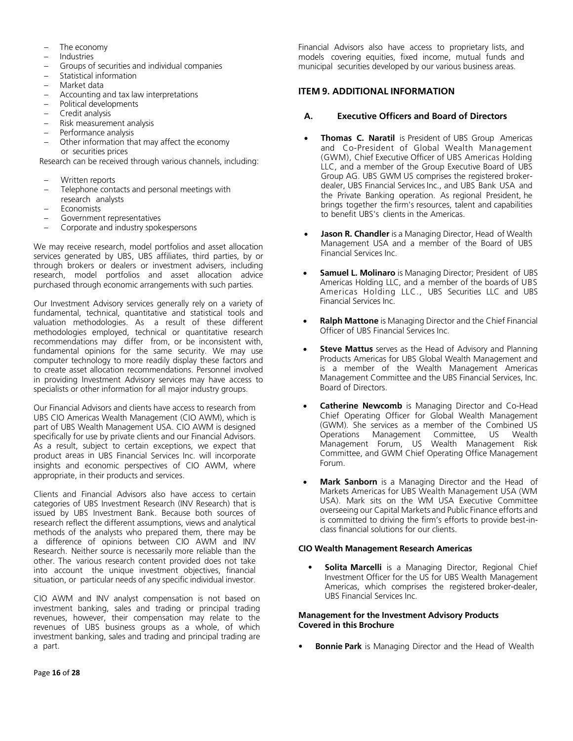- The economy
- **Industries**
- Groups of securities and individual companies
- Statistical information
- Market data
- Accounting and tax law interpretations
- Political developments
- Credit analysis
- Risk measurement analysis
- Performance analysis
- Other information that may affect the economy or securities prices

Research can be received through various channels, including:

- Written reports
- Telephone contacts and personal meetings with research analysts
- **Economists**
- Government representatives
- Corporate and industry spokespersons

We may receive research, model portfolios and asset allocation services generated by UBS, UBS affiliates, third parties, by or through brokers or dealers or investment advisers, including research, model portfolios and asset allocation advice purchased through economic arrangements with such parties.

Our Investment Advisory services generally rely on a variety of fundamental, technical, quantitative and statistical tools and valuation methodologies. As a result of these different methodologies employed, technical or quantitative research recommendations may differ from, or be inconsistent with, fundamental opinions for the same security. We may use computer technology to more readily display these factors and to create asset allocation recommendations. Personnel involved in providing Investment Advisory services may have access to specialists or other information for all major industry groups.

Our Financial Advisors and clients have access to research from UBS CIO Americas Wealth Management (CIO AWM), which is part of UBS Wealth Management USA. CIO AWM is designed specifically for use by private clients and our Financial Advisors. As a result, subject to certain exceptions, we expect that product areas in UBS Financial Services Inc. will incorporate insights and economic perspectives of CIO AWM, where appropriate, in their products and services.

Clients and Financial Advisors also have access to certain categories of UBS Investment Research (INV Research) that is issued by UBS Investment Bank. Because both sources of research reflect the different assumptions, views and analytical methods of the analysts who prepared them, there may be a difference of opinions between CIO AWM and INV Research. Neither source is necessarily more reliable than the other. The various research content provided does not take into account the unique investment objectives, financial situation, or particular needs of any specific individual investor.

CIO AWM and INV analyst compensation is not based on investment banking, sales and trading or principal trading revenues, however, their compensation may relate to the revenues of UBS business groups as a whole, of which investment banking, sales and trading and principal trading are a part.

Financial Advisors also have access to proprietary lists, and models covering equities, fixed income, mutual funds and municipal securities developed by our various business areas.

# <span id="page-15-0"></span>**ITEM 9. ADDITIONAL INFORMATION**

# <span id="page-15-1"></span>**A. Executive Officers and Board of Directors**

- **Thomas C. Naratil** is President of UBS Group Americas and Co-President of Global Wealth Management (GWM), Chief Executive Officer of UBS Americas Holding LLC, and a member of the Group Executive Board of UBS Group AG. UBS GWM US comprises the registered brokerdealer, UBS Financial Services Inc., and UBS Bank USA and the Private Banking operation. As regional President, he brings together the firm's resources, talent and capabilities to benefit UBS's clients in the Americas.
- **Jason R. Chandler** is a Managing Director, Head of Wealth Management USA and a member of the Board of UBS Financial Services Inc.
- **Samuel L. Molinaro** is Managing Director; President of UBS Americas Holding LLC, and a member of the boards of UBS Americas Holding LLC., UBS Securities LLC and UBS Financial Services Inc.
- **Ralph Mattone** is Managing Director and the Chief Financial Officer of UBS Financial Services Inc.
- **Steve Mattus** serves as the Head of Advisory and Planning Products Americas for UBS Global Wealth Management and is a member of the Wealth Management Americas Management Committee and the UBS Financial Services, Inc. Board of Directors.
- **Catherine Newcomb** is Managing Director and Co-Head Chief Operating Officer for Global Wealth Management (GWM). She services as a member of the Combined US Operations Management Committee, US Wealth Management Forum, US Wealth Management Risk Committee, and GWM Chief Operating Office Management Forum.
- **Mark Sanborn** is a Managing Director and the Head of Markets Americas for UBS Wealth Management USA (WM USA). Mark sits on the WM USA Executive Committee overseeing our Capital Markets and Public Finance efforts and is committed to driving the firm's efforts to provide best-inclass financial solutions for our clients.

# **CIO Wealth Management Research Americas**

**Solita Marcelli** is a Managing Director, Regional Chief Investment Officer for the US for UBS Wealth Management Americas, which comprises the registered broker-dealer, UBS Financial Services Inc.

#### **Management for the Investment Advisory Products Covered in this Brochure**

**Bonnie Park** is Managing Director and the Head of Wealth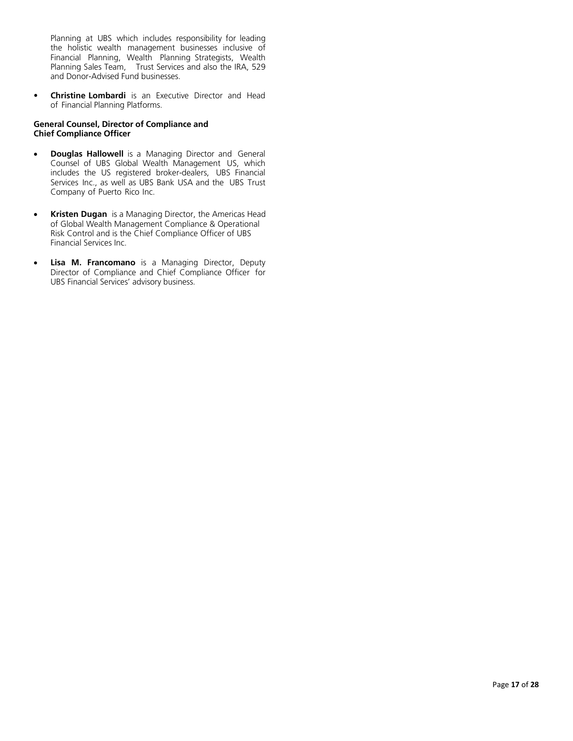Planning at UBS which includes responsibility for leading the holistic wealth management businesses inclusive of Financial Planning, Wealth Planning Strategists, Wealth Planning Sales Team, Trust Services and also the IRA, 529 and Donor-Advised Fund businesses.

• **Christine Lombardi** is an Executive Director and Head of Financial Planning Platforms.

#### **General Counsel, Director of Compliance and Chief Compliance Officer**

- **Douglas Hallowell** is a Managing Director and General Counsel of UBS Global Wealth Management US, which includes the US registered broker-dealers, UBS Financial Services Inc., as well as UBS Bank USA and the UBS Trust Company of Puerto Rico Inc.
- **Kristen Dugan** is a Managing Director, the Americas Head of Global Wealth Management Compliance & Operational Risk Control and is the Chief Compliance Officer of UBS Financial Services Inc.
- **Lisa M. Francomano** is a Managing Director, Deputy Director of Compliance and Chief Compliance Officer for UBS Financial Services' advisory business.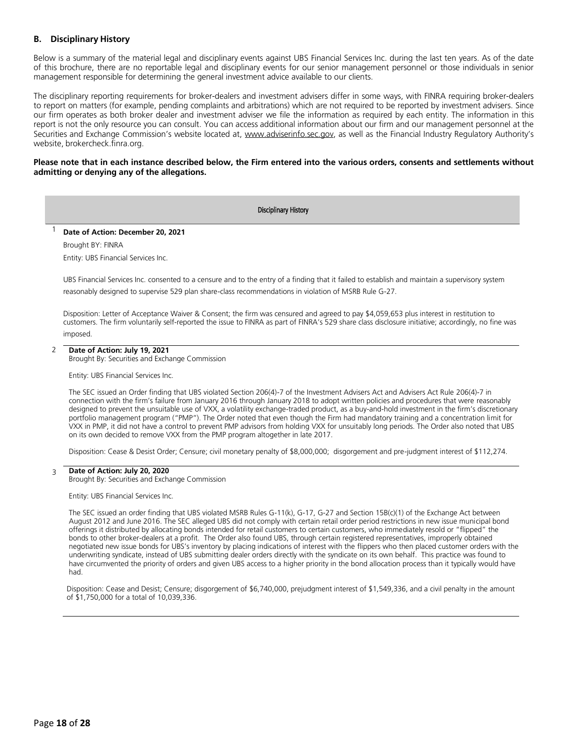# <span id="page-17-0"></span>**B. Disciplinary History**

Below is a summary of the material legal and disciplinary events against UBS Financial Services Inc. during the last ten years. As of the date of this brochure, there are no reportable legal and disciplinary events for our senior management personnel or those individuals in senior management responsible for determining the general investment advice available to our clients.

The disciplinary reporting requirements for broker-dealers and investment advisers differ in some ways, with FINRA requiring broker-dealers to report on matters (for example, pending complaints and arbitrations) which are not required to be reported by investment advisers. Since our firm operates as both broker dealer and investment adviser we file the information as required by each entity. The information in this report is not the only resource you can consult. You can access additional information about our firm and our management personnel at the Securities and Exchange Commission's website located at, [www.adviserinfo.sec.gov,](http://www.adviserinfo.sec.gov/) as well as the Financial Industry Regulatory Authority's website, brokercheck.finra.org.

#### Please note that in each instance described below, the Firm entered into the various orders, consents and settlements without **admitting or denying any of the allegations.**

#### Disciplinary History

#### <sup>1</sup> **Date of Action: December 20, 2021**

Brought BY: FINRA Entity: UBS Financial Services Inc.

UBS Financial Services Inc. consented to a censure and to the entry of a finding that it failed to establish and maintain a supervisory system reasonably designed to supervise 529 plan share-class recommendations in violation of MSRB Rule G-27.

Disposition: Letter of Acceptance Waiver & Consent; the firm was censured and agreed to pay \$4,059,653 plus interest in restitution to customers. The firm voluntarily self-reported the issue to FINRA as part of FINRA's 529 share class disclosure initiative; accordingly, no fine was imposed.

#### 2 **Date of Action: July 19, 2021**

Brought By: Securities and Exchange Commission

#### Entity: UBS Financial Services Inc.

The SEC issued an Order finding that UBS violated Section 206(4)-7 of the Investment Advisers Act and Advisers Act Rule 206(4)-7 in connection with the firm's failure from January 2016 through January 2018 to adopt written policies and procedures that were reasonably designed to prevent the unsuitable use of VXX, a volatility exchange-traded product, as a buy-and-hold investment in the firm's discretionary portfolio management program ("PMP"). The Order noted that even though the Firm had mandatory training and a concentration limit for VXX in PMP, it did not have a control to prevent PMP advisors from holding VXX for unsuitably long periods. The Order also noted that UBS on its own decided to remove VXX from the PMP program altogether in late 2017.

Disposition: Cease & Desist Order; Censure; civil monetary penalty of \$8,000,000; disgorgement and pre-judgment interest of \$112,274.

#### 3 **Date of Action: July 20, 2020**

Brought By: Securities and Exchange Commission

Entity: UBS Financial Services Inc.

The SEC issued an order finding that UBS violated MSRB Rules G-11(k), G-17, G-27 and Section 15B(c)(1) of the Exchange Act between August 2012 and June 2016. The SEC alleged UBS did not comply with certain retail order period restrictions in new issue municipal bond offerings it distributed by allocating bonds intended for retail customers to certain customers, who immediately resold or "flipped" the bonds to other broker-dealers at a profit. The Order also found UBS, through certain registered representatives, improperly obtained negotiated new issue bonds for UBS's inventory by placing indications of interest with the flippers who then placed customer orders with the underwriting syndicate, instead of UBS submitting dealer orders directly with the syndicate on its own behalf. This practice was found to have circumvented the priority of orders and given UBS access to a higher priority in the bond allocation process than it typically would have had.

Disposition: Cease and Desist; Censure; disgorgement of \$6,740,000, prejudgment interest of \$1,549,336, and a civil penalty in the amount of \$1,750,000 for a total of 10,039,336.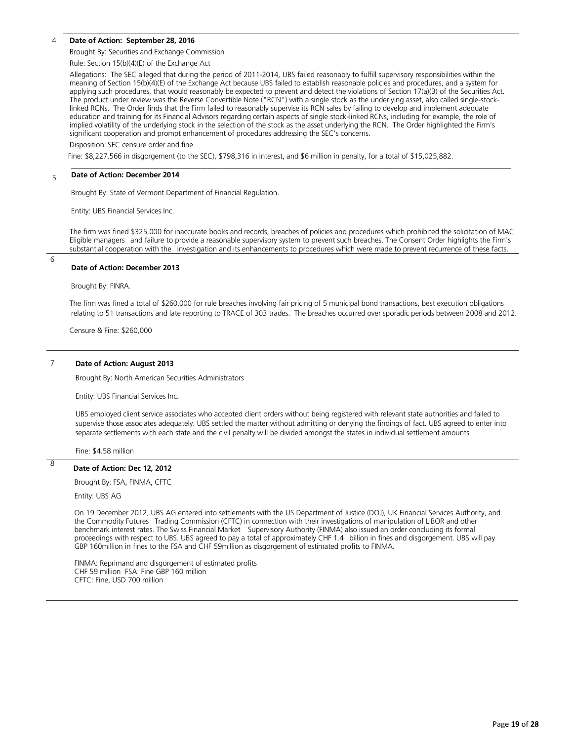#### 4 **Date of Action: September 28, 2016**

Brought By: Securities and Exchange Commission

Rule: Section 15(b)(4)(E) of the Exchange Act

Allegations: The SEC alleged that during the period of 2011-2014, UBS failed reasonably to fulfill supervisory responsibilities within the meaning of Section 15(b)(4)(E) of the Exchange Act because UBS failed to establish reasonable policies and procedures, and a system for applying such procedures, that would reasonably be expected to prevent and detect the violations of Section 17(a)(3) of the Securities Act. The product under review was the Reverse Convertible Note ("RCN") with a single stock as the underlying asset, also called single-stocklinked RCNs. The Order finds that the Firm failed to reasonably supervise its RCN sales by failing to develop and implement adequate education and training for its Financial Advisors regarding certain aspects of single stock-linked RCNs, including for example, the role of implied volatility of the underlying stock in the selection of the stock as the asset underlying the RCN. The Order highlighted the Firm's significant cooperation and prompt enhancement of procedures addressing the SEC's concerns.

Disposition: SEC censure order and fine

Fine: Fine: \$8,227.566 in disgorgement (to the SEC), \$798,316 in interest, and \$6 million in penalty, for a total of \$15,025,882.

#### 5 **Date of Action: December 2014**

Brought By: State of Vermont Department of Financial Regulation.

Entity: UBS Financial Services Inc.

The firm was fined \$325,000 for inaccurate books and records, breaches of policies and procedures which prohibited the solicitation of MAC Eligible managers and failure to provide a reasonable supervisory system to prevent such breaches. The Consent Order highlights the Firm's substantial cooperation with the investigation and its enhancements to procedures which were made to prevent recurrence of these facts.

\_\_\_\_\_\_\_\_\_\_\_\_\_\_\_\_\_\_\_\_\_\_\_\_\_\_\_\_\_\_\_\_\_\_\_\_\_\_\_\_\_\_\_\_\_\_\_\_\_\_\_\_\_\_\_\_\_\_\_\_\_\_\_\_\_\_\_\_\_\_\_\_\_\_\_\_\_\_\_\_\_\_\_\_\_\_\_\_\_\_\_\_\_\_\_\_\_\_\_\_\_\_\_\_\_\_\_\_\_\_\_\_\_\_\_\_\_\_\_

6

 $\overline{8}$ 

#### **Date of Action: December 2013**

Brought By: FINRA.

 The firm was fined a total of \$260,000 for rule breaches involving fair pricing of 5 municipal bond transactions, best execution obligations relating to 51 transactions and late reporting to TRACE of 303 trades. The breaches occurred over sporadic periods between 2008 and 2012.

Censure & Fine: \$260,000

#### 7 **Date of Action: August 2013**

Brought By: North American Securities Administrators

Entity: UBS Financial Services Inc.

UBS employed client service associates who accepted client orders without being registered with relevant state authorities and failed to supervise those associates adequately. UBS settled the matter without admitting or denying the findings of fact. UBS agreed to enter into separate settlements with each state and the civil penalty will be divided amongst the states in individual settlement amounts.

Fine: \$4.58 million

#### **Date of Action: Dec 12, 2012**

Brought By: FSA, FINMA, CFTC

Entity: UBS AG

On 19 December 2012, UBS AG entered into settlements with the US Department of Justice (DOJ), UK Financial Services Authority, and the Commodity Futures Trading Commission (CFTC) in connection with their investigations of manipulation of LIBOR and other benchmark interest rates. The Swiss Financial Market Supervisory Authority (FINMA) also issued an order concluding its formal proceedings with respect to UBS. UBS agreed to pay a total of approximately CHF 1.4 billion in fines and disgorgement. UBS will pay GBP 160million in fines to the FSA and CHF 59million as disgorgement of estimated profits to FINMA.

FINMA: Reprimand and disgorgement of estimated profits CHF 59 million FSA: Fine GBP 160 million CFTC: Fine, USD 700 million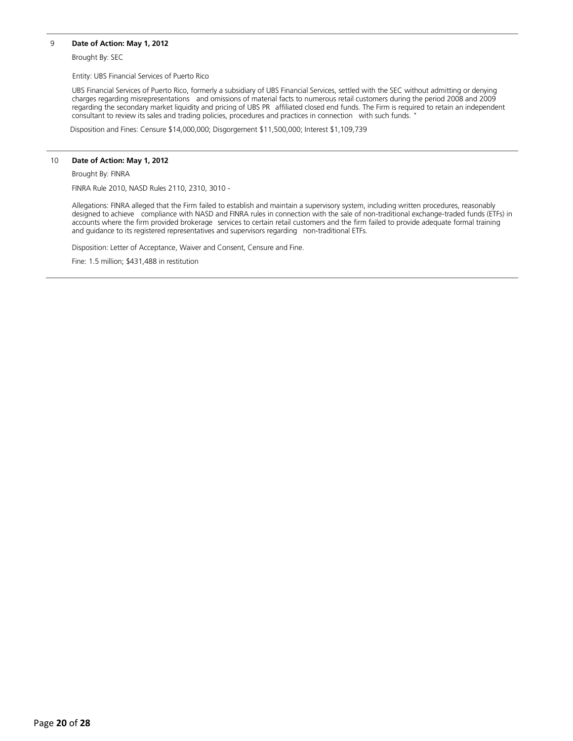# 9 **Date of Action: May 1, 2012**

Brought By: SEC

Entity: UBS Financial Services of Puerto Rico

UBS Financial Services of Puerto Rico, formerly a subsidiary of UBS Financial Services, settled with the SEC without admitting or denying charges regarding misrepresentations and omissions of material facts to numerous retail customers during the period 2008 and 2009 regarding the secondary market liquidity and pricing of UBS PR affiliated closed end funds. The Firm is required to retain an independent consultant to review its sales and trading policies, procedures and practices in connection with such funds. "

Disposition and Fines: Censure \$14,000,000; Disgorgement \$11,500,000; Interest \$1,109,739

#### 10 **Date of Action: May 1, 2012**

Brought By: FINRA

FINRA Rule 2010, NASD Rules 2110, 2310, 3010 -

Allegations: FINRA alleged that the Firm failed to establish and maintain a supervisory system, including written procedures, reasonably designed to achieve compliance with NASD and FINRA rules in connection with the sale of non-traditional exchange-traded funds (ETFs) in accounts where the firm provided brokerage services to certain retail customers and the firm failed to provide adequate formal training and guidance to its registered representatives and supervisors regarding non-traditional ETFs.

Disposition: Letter of Acceptance, Waiver and Consent, Censure and Fine.

Fine: 1.5 million; \$431,488 in restitution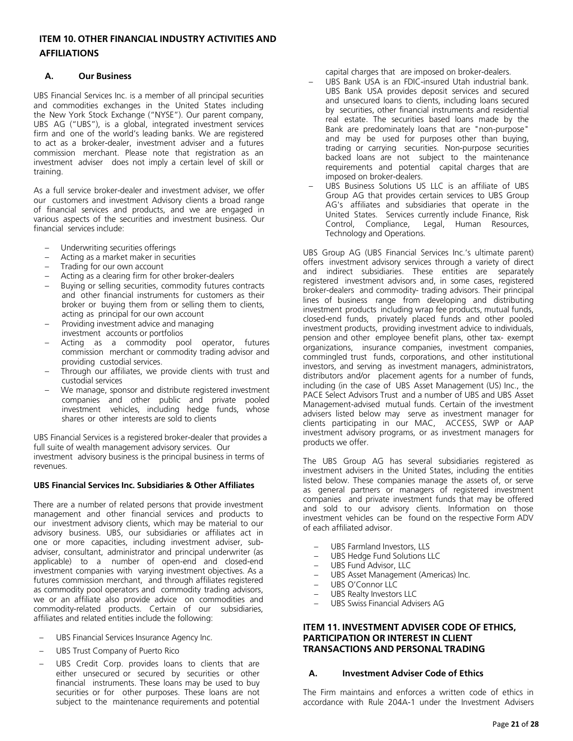# <span id="page-20-1"></span><span id="page-20-0"></span>**ITEM 10. OTHER FINANCIAL INDUSTRY ACTIVITIES AND AFFILIATIONS**

# **A. Our Business**

UBS Financial Services Inc. is a member of all principal securities and commodities exchanges in the United States including the New York Stock Exchange ("NYSE"). Our parent company, UBS AG ("UBS"), is a global, integrated investment services firm and one of the world's leading banks. We are registered to act as a broker-dealer, investment adviser and a futures commission merchant. Please note that registration as an investment adviser does not imply a certain level of skill or training.

As a full service broker-dealer and investment adviser, we offer our customers and investment Advisory clients a broad range of financial services and products, and we are engaged in various aspects of the securities and investment business. Our financial services include:

- Underwriting securities offerings
- Acting as a market maker in securities
- Trading for our own account
- Acting as a clearing firm for other broker-dealers
- Buying or selling securities, commodity futures contracts and other financial instruments for customers as their broker or buying them from or selling them to clients, acting as principal for our own account
- Providing investment advice and managing investment accounts or portfolios
- Acting as a commodity pool operator, futures commission merchant or commodity trading advisor and providing custodial services.
- Through our affiliates, we provide clients with trust and custodial services
- We manage, sponsor and distribute registered investment companies and other public and private pooled investment vehicles, including hedge funds, whose shares or other interests are sold to clients

UBS Financial Services is a registered broker-dealer that provides a full suite of wealth management advisory services. Our investment advisory business is the principal business in terms of revenues.

#### **UBS Financial Services Inc. Subsidiaries & Other Affiliates**

There are a number of related persons that provide investment management and other financial services and products to our investment advisory clients, which may be material to our advisory business. UBS, our subsidiaries or affiliates act in one or more capacities, including investment adviser, subadviser, consultant, administrator and principal underwriter (as applicable) to a number of open-end and closed-end investment companies with varying investment objectives. As a futures commission merchant, and through affiliates registered as commodity pool operators and commodity trading advisors, we or an affiliate also provide advice on commodities and commodity-related products. Certain of our subsidiaries, affiliates and related entities include the following:

- UBS Financial Services Insurance Agency Inc.
- UBS Trust Company of Puerto Rico
- UBS Credit Corp. provides loans to clients that are either unsecured or secured by securities or other financial instruments. These loans may be used to buy securities or for other purposes. These loans are not subject to the maintenance requirements and potential

capital charges that are imposed on broker-dealers.

- UBS Bank USA is an FDIC-insured Utah industrial bank. UBS Bank USA provides deposit services and secured and unsecured loans to clients, including loans secured by securities, other financial instruments and residential real estate. The securities based loans made by the Bank are predominately loans that are "non-purpose" and may be used for purposes other than buying, trading or carrying securities. Non-purpose securities backed loans are not subject to the maintenance requirements and potential capital charges that are imposed on broker-dealers.
- UBS Business Solutions US LLC is an affiliate of UBS Group AG that provides certain services to UBS Group AG's affiliates and subsidiaries that operate in the United States. Services currently include Finance, Risk<br>Control, Compliance, Legal, Human Resources, Legal, Human Resources, Technology and Operations.

UBS Group AG (UBS Financial Services Inc.'s ultimate parent) offers investment advisory services through a variety of direct and indirect subsidiaries. These entities are separately registered investment advisors and, in some cases, registered broker-dealers and commodity- trading advisors. Their principal lines of business range from developing and distributing investment products including wrap fee products, mutual funds, closed-end funds, privately placed funds and other pooled investment products, providing investment advice to individuals, pension and other employee benefit plans, other tax- exempt organizations, insurance companies, investment companies, commingled trust funds, corporations, and other institutional investors, and serving as investment managers, administrators, distributors and/or placement agents for a number of funds, including (in the case of UBS Asset Management (US) Inc., the PACE Select Advisors Trust and a number of UBS and UBS Asset Management-advised mutual funds. Certain of the investment advisers listed below may serve as investment manager for clients participating in our MAC, ACCESS, SWP or AAP investment advisory programs, or as investment managers for products we offer.

The UBS Group AG has several subsidiaries registered as investment advisers in the United States, including the entities listed below. These companies manage the assets of, or serve as general partners or managers of registered investment companies and private investment funds that may be offered and sold to our advisory clients. Information on those investment vehicles can be found on the respective Form ADV of each affiliated advisor.

- UBS Farmland Investors, LLS
- UBS Hedge Fund Solutions LLC
- UBS Fund Advisor, LLC
- UBS Asset Management (Americas) Inc.
- UBS O'Connor LLC
- UBS Realty Investors LLC
- UBS Swiss Financial Advisers AG

# <span id="page-20-2"></span>**ITEM 11. INVESTMENT ADVISER CODE OF ETHICS, PARTICIPATION OR INTEREST IN CLIENT TRANSACTIONS AND PERSONAL TRADING**

#### <span id="page-20-3"></span>**A. Investment Adviser Code of Ethics**

The Firm maintains and enforces a written code of ethics in accordance with Rule 204A-1 under the Investment Advisers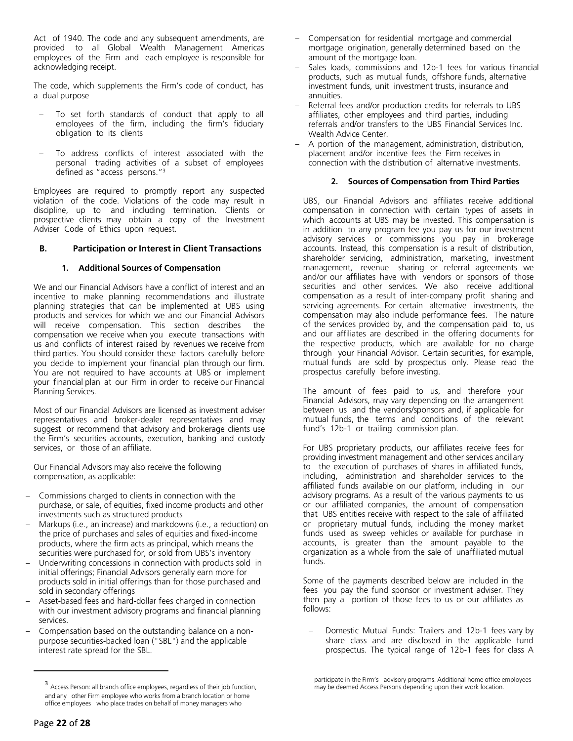Act of 1940. The code and any subsequent amendments, are provided to all Global Wealth Management Americas employees of the Firm and each employee is responsible for acknowledging receipt.

The code, which supplements the Firm's code of conduct, has a dual purpose

- To set forth standards of conduct that apply to all employees of the firm, including the firm's fiduciary obligation to its clients
- To address conflicts of interest associated with the personal trading activities of a subset of employees defined as "access persons."<sup>3</sup>

Employees are required to promptly report any suspected violation of the code. Violations of the code may result in discipline, up to and including termination. Clients or prospective clients may obtain a copy of the Investment Adviser Code of Ethics upon request.

### <span id="page-21-0"></span>**B. Participation or Interest in Client Transactions**

# **1. Additional Sources of Compensation**

We and our Financial Advisors have a conflict of interest and an incentive to make planning recommendations and illustrate planning strategies that can be implemented at UBS using products and services for which we and our Financial Advisors will receive compensation. This section describes the compensation we receive when you execute transactions with us and conflicts of interest raised by revenues we receive from third parties. You should consider these factors carefully before you decide to implement your financial plan through our firm. You are not required to have accounts at UBS or implement your financial plan at our Firm in order to receive our Financial Planning Services.

Most of our Financial Advisors are licensed as investment adviser representatives and broker-dealer representatives and may suggest or recommend that advisory and brokerage clients use the Firm's securities accounts, execution, banking and custody services, or those of an affiliate.

Our Financial Advisors may also receive the following compensation, as applicable:

- Commissions charged to clients in connection with the purchase, or sale, of equities, fixed income products and other investments such as structured products
- Markups (i.e., an increase) and markdowns (i.e., a reduction) on the price of purchases and sales of equities and fixed-income products, where the firm acts as principal, which means the securities were purchased for, or sold from UBS's inventory
- Underwriting concessions in connection with products sold in initial offerings; Financial Advisors generally earn more for products sold in initial offerings than for those purchased and sold in secondary offerings
- Asset-based fees and hard-dollar fees charged in connection with our investment advisory programs and financial planning services.
- Compensation based on the outstanding balance on a nonpurpose securities-backed loan ("SBL") and the applicable interest rate spread for the SBL.
- Compensation for residential mortgage and commercial mortgage origination, generally determined based on the amount of the mortgage loan.
- Sales loads, commissions and 12b-1 fees for various financial products, such as mutual funds, offshore funds, alternative investment funds, unit investment trusts, insurance and annuities.
- Referral fees and/or production credits for referrals to UBS affiliates, other employees and third parties, including referrals and/or transfers to the UBS Financial Services Inc. Wealth Advice Center.
- A portion of the management, administration, distribution, placement and/or incentive fees the Firm receives in connection with the distribution of alternative investments.

#### **2. Sources of Compensation from Third Parties**

UBS, our Financial Advisors and affiliates receive additional compensation in connection with certain types of assets in which accounts at UBS may be invested. This compensation is in addition to any program fee you pay us for our investment advisory services or commissions you pay in brokerage accounts. Instead, this compensation is a result of distribution, shareholder servicing, administration, marketing, investment management, revenue sharing or referral agreements we and/or our affiliates have with vendors or sponsors of those securities and other services. We also receive additional compensation as a result of inter-company profit sharing and servicing agreements. For certain alternative investments, the compensation may also include performance fees. The nature of the services provided by, and the compensation paid to, us and our affiliates are described in the offering documents for the respective products, which are available for no charge through your Financial Advisor. Certain securities, for example, mutual funds are sold by prospectus only. Please read the prospectus carefully before investing.

The amount of fees paid to us, and therefore your Financial Advisors, may vary depending on the arrangement between us and the vendors/sponsors and, if applicable for mutual funds, the terms and conditions of the relevant fund's 12b-1 or trailing commission plan.

For UBS proprietary products, our affiliates receive fees for providing investment management and other services ancillary to the execution of purchases of shares in affiliated funds, including, administration and shareholder services to the affiliated funds available on our platform, including in our advisory programs. As a result of the various payments to us or our affiliated companies, the amount of compensation that UBS entities receive with respect to the sale of affiliated or proprietary mutual funds, including the money market funds used as sweep vehicles or available for purchase in accounts, is greater than the amount payable to the organization as a whole from the sale of unaffiliated mutual funds.

Some of the payments described below are included in the fees you pay the fund sponsor or investment adviser. They then pay a portion of those fees to us or our affiliates as follows:

– Domestic Mutual Funds: Trailers and 12b-1 fees vary by share class and are disclosed in the applicable fund prospectus. The typical range of 12b-1 fees for class A

<sup>3</sup> Access Person: all branch office employees, regardless of their job function, and any other Firm employee who works from a branch location or home office employees who place trades on behalf of money managers who

participate in the Firm's advisory programs. Additional home office employees may be deemed Access Persons depending upon their work location.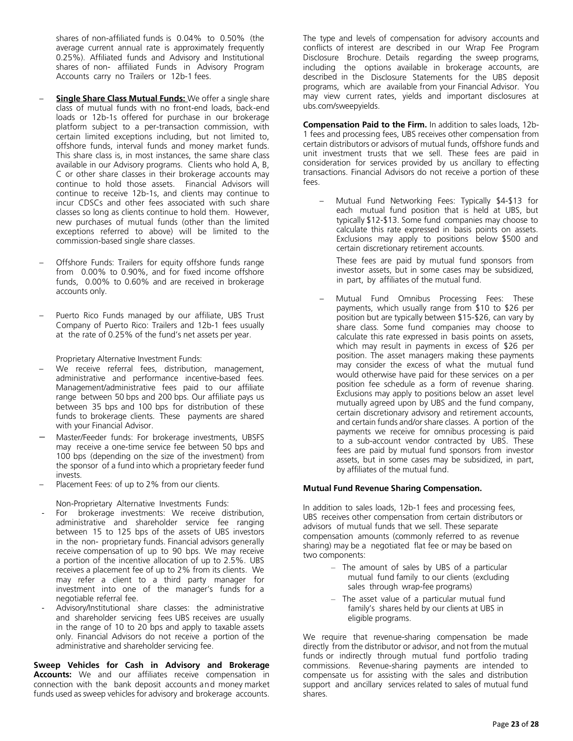shares of non-affiliated funds is 0.04% to 0.50% (the average current annual rate is approximately frequently 0.25%). Affiliated funds and Advisory and Institutional shares of non- affiliated Funds in Advisory Program Accounts carry no Trailers or 12b-1 fees.

- **Single Share Class Mutual Funds:** We offer a single share class of mutual funds with no front-end loads, back-end loads or 12b-1s offered for purchase in our brokerage platform subject to a per-transaction commission, with certain limited exceptions including, but not limited to, offshore funds, interval funds and money market funds. This share class is, in most instances, the same share class available in our Advisory programs. Clients who hold A, B, C or other share classes in their brokerage accounts may continue to hold those assets. Financial Advisors will continue to receive 12b-1s, and clients may continue to incur CDSCs and other fees associated with such share classes so long as clients continue to hold them. However, new purchases of mutual funds (other than the limited exceptions referred to above) will be limited to the commission-based single share classes.
- Offshore Funds: Trailers for equity offshore funds range from 0.00% to 0.90%, and for fixed income offshore funds, 0.00% to 0.60% and are received in brokerage accounts only.
- Puerto Rico Funds managed by our affiliate, UBS Trust Company of Puerto Rico: Trailers and 12b-1 fees usually at the rate of 0.25% of the fund's net assets per year.

Proprietary Alternative Investment Funds:

- We receive referral fees, distribution, management, administrative and performance incentive-based fees. Management/administrative fees paid to our affiliate range between 50 bps and 200 bps. Our affiliate pays us between 35 bps and 100 bps for distribution of these funds to brokerage clients. These payments are shared with your Financial Advisor.
- Master/Feeder funds: For brokerage investments, UBSFS may receive a one-time service fee between 50 bps and 100 bps (depending on the size of the investment) from the sponsor of a fund into which a proprietary feeder fund invests.
- Placement Fees: of up to 2% from our clients.

Non-Proprietary Alternative Investments Funds:

- For brokerage investments: We receive distribution, administrative and shareholder service fee ranging between 15 to 125 bps of the assets of UBS investors in the non- proprietary funds. Financial advisors generally receive compensation of up to 90 bps. We may receive a portion of the incentive allocation of up to 2.5%. UBS receives a placement fee of up to 2% from its clients. We may refer a client to a third party manager for investment into one of the manager's funds for a negotiable referral fee.
- Advisory/Institutional share classes: the administrative and shareholder servicing fees UBS receives are usually in the range of 10 to 20 bps and apply to taxable assets only. Financial Advisors do not receive a portion of the administrative and shareholder servicing fee.

**Sweep Vehicles for Cash in Advisory and Brokerage Accounts:** We and our affiliates receive compensation in connection with the bank deposit accounts and money market funds used as sweep vehicles for advisory and brokerage accounts.

The type and levels of compensation for advisory accounts and conflicts of interest are described in our Wrap Fee Program Disclosure Brochure. Details regarding the sweep programs, including the options available in brokerage accounts, are described in the Disclosure Statements for the UBS deposit programs, which are available from your Financial Advisor. You may view current rates, yields and important disclosures at ubs.com/sweepyields.

**Compensation Paid to the Firm.** In addition to sales loads, 12b-1 fees and processing fees, UBS receives other compensation from certain distributors or advisors of mutual funds, offshore funds and unit investment trusts that we sell. These fees are paid in consideration for services provided by us ancillary to effecting transactions. Financial Advisors do not receive a portion of these fees.

– Mutual Fund Networking Fees: Typically \$4-\$13 for each mutual fund position that is held at UBS, but typically \$12-\$13. Some fund companies may choose to calculate this rate expressed in basis points on assets. Exclusions may apply to positions below \$500 and certain discretionary retirement accounts.

These fees are paid by mutual fund sponsors from investor assets, but in some cases may be subsidized, in part, by affiliates of the mutual fund.

Mutual Fund Omnibus Processing Fees: These payments, which usually range from \$10 to \$26 per position but are typically between \$15-\$26, can vary by share class. Some fund companies may choose to calculate this rate expressed in basis points on assets, which may result in payments in excess of \$26 per position. The asset managers making these payments may consider the excess of what the mutual fund would otherwise have paid for these services on a per position fee schedule as a form of revenue sharing. Exclusions may apply to positions below an asset level mutually agreed upon by UBS and the fund company, certain discretionary advisory and retirement accounts, and certain funds and/or share classes. A portion of the payments we receive for omnibus processing is paid to a sub-account vendor contracted by UBS. These fees are paid by mutual fund sponsors from investor assets, but in some cases may be subsidized, in part, by affiliates of the mutual fund.

#### **Mutual Fund Revenue Sharing Compensation.**

In addition to sales loads, 12b-1 fees and processing fees, UBS receives other compensation from certain distributors or advisors of mutual funds that we sell. These separate compensation amounts (commonly referred to as revenue sharing) may be a negotiated flat fee or may be based on two components:

- The amount of sales by UBS of a particular mutual fund family to our clients (excluding sales through wrap-fee programs)
- The asset value of a particular mutual fund family's shares held by our clients at UBS in eligible programs.

We require that revenue-sharing compensation be made directly from the distributor or advisor, and not from the mutual funds or indirectly through mutual fund portfolio trading commissions. Revenue-sharing payments are intended to compensate us for assisting with the sales and distribution support and ancillary services related to sales of mutual fund shares.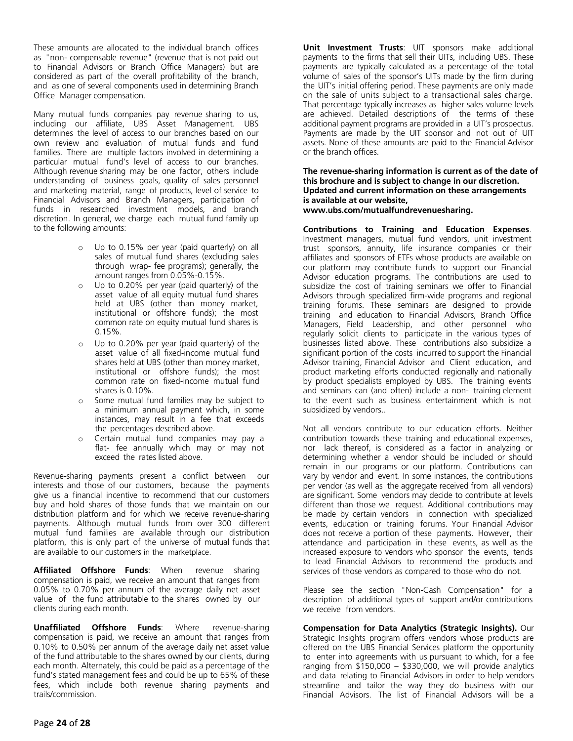These amounts are allocated to the individual branch offices as "non- compensable revenue" (revenue that is not paid out to Financial Advisors or Branch Office Managers) but are considered as part of the overall profitability of the branch, and as one of several components used in determining Branch Office Manager compensation.

Many mutual funds companies pay revenue sharing to us, including our affiliate, UBS Asset Management. UBS determines the level of access to our branches based on our own review and evaluation of mutual funds and fund families. There are multiple factors involved in determining a particular mutual fund's level of access to our branches. Although revenue sharing may be one factor, others include understanding of business goals, quality of sales personnel and marketing material, range of products, level of service to Financial Advisors and Branch Managers, participation of funds in researched investment models, and branch discretion. In general, we charge each mutual fund family up to the following amounts:

- o Up to 0.15% per year (paid quarterly) on all sales of mutual fund shares (excluding sales through wrap- fee programs); generally, the amount ranges from 0.05%-0.15%.
- o Up to 0.20% per year (paid quarterly) of the asset value of all equity mutual fund shares held at UBS (other than money market, institutional or offshore funds); the most common rate on equity mutual fund shares is 0.15%.
- o Up to 0.20% per year (paid quarterly) of the asset value of all fixed-income mutual fund shares held at UBS (other than money market, institutional or offshore funds); the most common rate on fixed-income mutual fund shares is 0.10%.
- Some mutual fund families may be subject to a minimum annual payment which, in some instances, may result in a fee that exceeds the percentages described above.
- o Certain mutual fund companies may pay a flat- fee annually which may or may not exceed the rates listed above.

Revenue-sharing payments present a conflict between our interests and those of our customers, because the payments give us a financial incentive to recommend that our customers buy and hold shares of those funds that we maintain on our distribution platform and for which we receive revenue-sharing payments. Although mutual funds from over 300 different mutual fund families are available through our distribution platform, this is only part of the universe of mutual funds that are available to our customers in the marketplace.

**Affiliated Offshore Funds**: When revenue sharing compensation is paid, we receive an amount that ranges from 0.05% to 0.70% per annum of the average daily net asset value of the fund attributable to the shares owned by our clients during each month.

**Unaffiliated Offshore Funds**: Where revenue-sharing compensation is paid, we receive an amount that ranges from 0.10% to 0.50% per annum of the average daily net asset value of the fund attributable to the shares owned by our clients, during each month. Alternately, this could be paid as a percentage of the fund's stated management fees and could be up to 65% of these fees, which include both revenue sharing payments and trails/commission.

**Unit Investment Trusts**: UIT sponsors make additional payments to the firms that sell their UITs, including UBS. These payments are typically calculated as a percentage of the total volume of sales of the sponsor's UITs made by the firm during the UIT's initial offering period. These payments are only made on the sale of units subject to a transactional sales charge. That percentage typically increases as higher sales volume levels are achieved. Detailed descriptions of the terms of these additional payment programs are provided in a UIT's prospectus. Payments are made by the UIT sponsor and not out of UIT assets. None of these amounts are paid to the Financial Advisor or the branch offices.

**The revenue-sharing information is current as of the date of this brochure and is subject to change in our discretion. Updated and current information on these arrangements is available at our website, www.ubs.com/mutualfundrevenuesharing.**

**Contributions to Training and Education Expenses**. Investment managers, mutual fund vendors, unit investment trust sponsors, annuity, life insurance companies or their affiliates and sponsors of ETFs whose products are available on our platform may contribute funds to support our Financial Advisor education programs. The contributions are used to subsidize the cost of training seminars we offer to Financial Advisors through specialized firm-wide programs and regional training forums. These seminars are designed to provide training and education to Financial Advisors, Branch Office Managers, Field Leadership, and other personnel who regularly solicit clients to participate in the various types of businesses listed above. These contributions also subsidize a significant portion of the costs incurred to support the Financial Advisor training, Financial Advisor and Client education, and product marketing efforts conducted regionally and nationally by product specialists employed by UBS. The training events and seminars can (and often) include a non- training element to the event such as business entertainment which is not subsidized by vendors..

Not all vendors contribute to our education efforts. Neither contribution towards these training and educational expenses, nor lack thereof, is considered as a factor in analyzing or determining whether a vendor should be included or should remain in our programs or our platform. Contributions can vary by vendor and event. In some instances, the contributions per vendor (as well as the aggregate received from all vendors) are significant. Some vendors may decide to contribute at levels different than those we request. Additional contributions may be made by certain vendors in connection with specialized events, education or training forums. Your Financial Advisor does not receive a portion of these payments. However, their attendance and participation in these events, as well as the increased exposure to vendors who sponsor the events, tends to lead Financial Advisors to recommend the products and services of those vendors as compared to those who do not.

Please see the section "Non-Cash Compensation" for a description of additional types of support and/or contributions we receive from vendors.

**Compensation for Data Analytics (Strategic Insights).** Our Strategic Insights program offers vendors whose products are offered on the UBS Financial Services platform the opportunity to enter into agreements with us pursuant to which, for a fee ranging from  $$150,000 - $330,000$ , we will provide analytics and data relating to Financial Advisors in order to help vendors streamline and tailor the way they do business with our Financial Advisors. The list of Financial Advisors will be a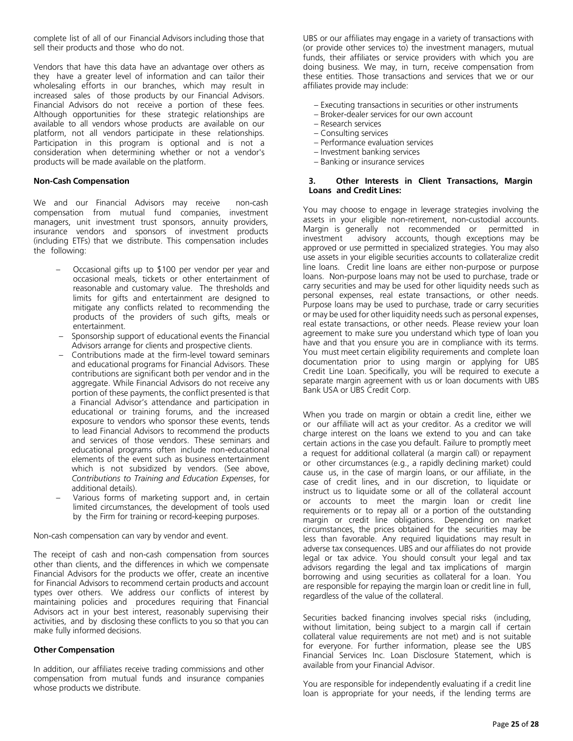complete list of all of our Financial Advisors including those that sell their products and those who do not.

Vendors that have this data have an advantage over others as they have a greater level of information and can tailor their wholesaling efforts in our branches, which may result in increased sales of those products by our Financial Advisors. Financial Advisors do not receive a portion of these fees. Although opportunities for these strategic relationships are available to all vendors whose products are available on our platform, not all vendors participate in these relationships. Participation in this program is optional and is not a consideration when determining whether or not a vendor's products will be made available on the platform.

#### **Non-Cash Compensation**

We and our Financial Advisors may receive non-cash compensation from mutual fund companies, investment managers, unit investment trust sponsors, annuity providers, insurance vendors and sponsors of investment products (including ETFs) that we distribute. This compensation includes the following:

- Occasional gifts up to \$100 per vendor per year and occasional meals, tickets or other entertainment of reasonable and customary value. The thresholds and limits for gifts and entertainment are designed to mitigate any conflicts related to recommending the products of the providers of such gifts, meals or entertainment.
- Sponsorship support of educational events the Financial Advisors arrange for clients and prospective clients.
- Contributions made at the firm-level toward seminars and educational programs for Financial Advisors. These contributions are significant both per vendor and in the aggregate. While Financial Advisors do not receive any portion of these payments, the conflict presented is that a Financial Advisor's attendance and participation in educational or training forums, and the increased exposure to vendors who sponsor these events, tends to lead Financial Advisors to recommend the products and services of those vendors. These seminars and educational programs often include non-educational elements of the event such as business entertainment which is not subsidized by vendors. (See above, *Contributions to Training and Education Expenses*, for additional details).
- Various forms of marketing support and, in certain limited circumstances, the development of tools used by the Firm for training or record-keeping purposes.

Non-cash compensation can vary by vendor and event.

The receipt of cash and non-cash compensation from sources other than clients, and the differences in which we compensate Financial Advisors for the products we offer, create an incentive for Financial Advisors to recommend certain products and account types over others. We address our conflicts of interest by maintaining policies and procedures requiring that Financial Advisors act in your best interest, reasonably supervising their activities, and by disclosing these conflicts to you so that you can make fully informed decisions.

#### **Other Compensation**

In addition, our affiliates receive trading commissions and other compensation from mutual funds and insurance companies whose products we distribute.

UBS or our affiliates may engage in a variety of transactions with (or provide other services to) the investment managers, mutual funds, their affiliates or service providers with which you are doing business. We may, in turn, receive compensation from these entities. Those transactions and services that we or our affiliates provide may include:

– Executing transactions in securities or other instruments

- Broker-dealer services for our own account
- Research services
- Consulting services
- Performance evaluation services
- Investment banking services
- Banking or insurance services

#### **3. Other Interests in Client Transactions, Margin Loans and Credit Lines:**

You may choose to engage in leverage strategies involving the assets in your eligible non-retirement, non-custodial accounts. Margin is generally not recommended or permitted in investment advisory accounts, though exceptions may be approved or use permitted in specialized strategies. You may also use assets in your eligible securities accounts to collateralize credit line loans. Credit line loans are either non-purpose or purpose loans. Non-purpose loans may not be used to purchase, trade or carry securities and may be used for other liquidity needs such as personal expenses, real estate transactions, or other needs. Purpose loans may be used to purchase, trade or carry securities or may be used for other liquidity needs such as personal expenses, real estate transactions, or other needs. Please review your loan agreement to make sure you understand which type of loan you have and that you ensure you are in compliance with its terms. You must meet certain eligibility requirements and complete loan documentation prior to using margin or applying for UBS Credit Line Loan. Specifically, you will be required to execute a separate margin agreement with us or loan documents with UBS Bank USA or UBS Credit Corp.

When you trade on margin or obtain a credit line, either we or our affiliate will act as your creditor. As a creditor we will charge interest on the loans we extend to you and can take certain actions in the case you default. Failure to promptly meet a request for additional collateral (a margin call) or repayment or other circumstances (e.g., a rapidly declining market) could cause us, in the case of margin loans, or our affiliate, in the case of credit lines, and in our discretion, to liquidate or instruct us to liquidate some or all of the collateral account or accounts to meet the margin loan or credit line requirements or to repay all or a portion of the outstanding margin or credit line obligations. Depending on market circumstances, the prices obtained for the securities may be less than favorable. Any required liquidations may result in adverse tax consequences. UBS and our affiliates do not provide legal or tax advice. You should consult your legal and tax advisors regarding the legal and tax implications of margin borrowing and using securities as collateral for a loan. You are responsible for repaying the margin loan or credit line in full, regardless of the value of the collateral.

Securities backed financing involves special risks (including, without limitation, being subject to a margin call if certain collateral value requirements are not met) and is not suitable for everyone. For further information, please see the UBS Financial Services Inc. Loan Disclosure Statement, which is available from your Financial Advisor.

You are responsible for independently evaluating if a credit line loan is appropriate for your needs, if the lending terms are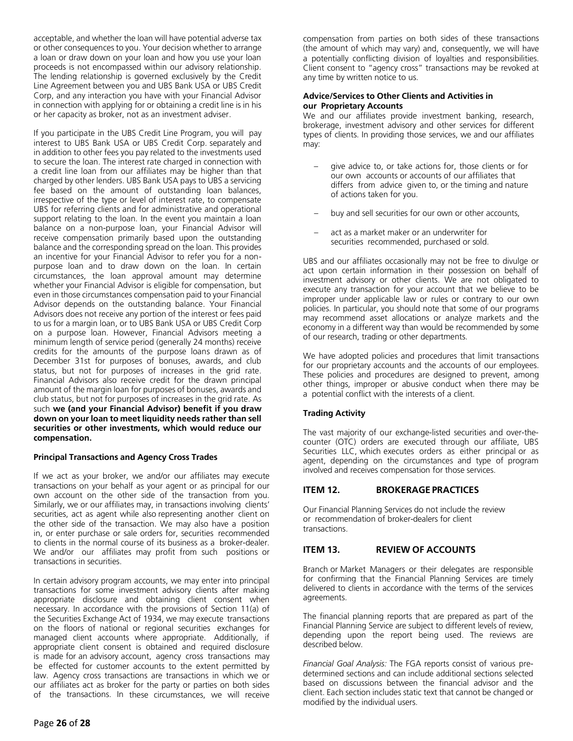acceptable, and whether the loan will have potential adverse tax or other consequences to you. Your decision whether to arrange a loan or draw down on your loan and how you use your loan proceeds is not encompassed within our advisory relationship. The lending relationship is governed exclusively by the Credit Line Agreement between you and UBS Bank USA or UBS Credit Corp, and any interaction you have with your Financial Advisor in connection with applying for or obtaining a credit line is in his or her capacity as broker, not as an investment adviser.

If you participate in the UBS Credit Line Program, you will pay interest to UBS Bank USA or UBS Credit Corp. separately and in addition to other fees you pay related to the investments used to secure the loan. The interest rate charged in connection with a credit line loan from our affiliates may be higher than that charged by other lenders. UBS Bank USA pays to UBS a servicing fee based on the amount of outstanding loan balances, irrespective of the type or level of interest rate, to compensate UBS for referring clients and for administrative and operational support relating to the loan. In the event you maintain a loan balance on a non-purpose loan, your Financial Advisor will receive compensation primarily based upon the outstanding balance and the corresponding spread on the loan. This provides an incentive for your Financial Advisor to refer you for a nonpurpose loan and to draw down on the loan. In certain circumstances, the loan approval amount may determine whether your Financial Advisor is eligible for compensation, but even in those circumstances compensation paid to your Financial Advisor depends on the outstanding balance. Your Financial Advisors does not receive any portion of the interest or fees paid to us for a margin loan, or to UBS Bank USA or UBS Credit Corp on a purpose loan. However, Financial Advisors meeting a minimum length of service period (generally 24 months) receive credits for the amounts of the purpose loans drawn as of December 31st for purposes of bonuses, awards, and club status, but not for purposes of increases in the grid rate. Financial Advisors also receive credit for the drawn principal amount of the margin loan for purposes of bonuses, awards and club status, but not for purposes of increases in the grid rate. As such **we (and your Financial Advisor) benefit if you draw down on your loan to meet liquidity needs rather than sell securities or other investments, which would reduce our compensation.**

#### **Principal Transactions and Agency Cross Trades**

If we act as your broker, we and/or our affiliates may execute transactions on your behalf as your agent or as principal for our own account on the other side of the transaction from you. Similarly, we or our affiliates may, in transactions involving clients' securities, act as agent while also representing another client on the other side of the transaction. We may also have a position in, or enter purchase or sale orders for, securities recommended to clients in the normal course of its business as a broker-dealer. We and/or our affiliates may profit from such positions or transactions in securities.

In certain advisory program accounts, we may enter into principal transactions for some investment advisory clients after making appropriate disclosure and obtaining client consent when necessary. In accordance with the provisions of Section 11(a) of the Securities Exchange Act of 1934, we may execute transactions on the floors of national or regional securities exchanges for managed client accounts where appropriate. Additionally, if appropriate client consent is obtained and required disclosure is made for an advisory account, agency cross transactions may be effected for customer accounts to the extent permitted by law. Agency cross transactions are transactions in which we or our affiliates act as broker for the party or parties on both sides of the transactions. In these circumstances, we will receive

compensation from parties on both sides of these transactions (the amount of which may vary) and, consequently, we will have a potentially conflicting division of loyalties and responsibilities. Client consent to "agency cross" transactions may be revoked at any time by written notice to us.

#### **Advice/Services to Other Clients and Activities in our Proprietary Accounts**

We and our affiliates provide investment banking, research, brokerage, investment advisory and other services for different types of clients. In providing those services, we and our affiliates may:

- give advice to, or take actions for, those clients or for our own accounts or accounts of our affiliates that differs from advice given to, or the timing and nature of actions taken for you.
- buy and sell securities for our own or other accounts,
- act as a market maker or an underwriter for securities recommended, purchased or sold.

UBS and our affiliates occasionally may not be free to divulge or act upon certain information in their possession on behalf of investment advisory or other clients. We are not obligated to execute any transaction for your account that we believe to be improper under applicable law or rules or contrary to our own policies. In particular, you should note that some of our programs may recommend asset allocations or analyze markets and the economy in a different way than would be recommended by some of our research, trading or other departments.

We have adopted policies and procedures that limit transactions for our proprietary accounts and the accounts of our employees. These policies and procedures are designed to prevent, among other things, improper or abusive conduct when there may be a potential conflict with the interests of a client.

# **Trading Activity**

The vast majority of our exchange-listed securities and over-thecounter (OTC) orders are executed through our affiliate, UBS Securities LLC, which executes orders as either principal or as agent, depending on the circumstances and type of program involved and receives compensation for those services.

# <span id="page-25-0"></span>**ITEM 12. BROKERAGE PRACTICES**

Our Financial Planning Services do not include the review or recommendation of broker-dealers for client transactions.

# <span id="page-25-1"></span>**ITEM 13. REVIEW OF ACCOUNTS**

Branch or Market Managers or their delegates are responsible for confirming that the Financial Planning Services are timely delivered to clients in accordance with the terms of the services agreements.

The financial planning reports that are prepared as part of the Financial Planning Service are subject to different levels of review, depending upon the report being used. The reviews are described below.

*Financial Goal Analysis:* The FGA reports consist of various predetermined sections and can include additional sections selected based on discussions between the financial advisor and the client. Each section includes static text that cannot be changed or modified by the individual users.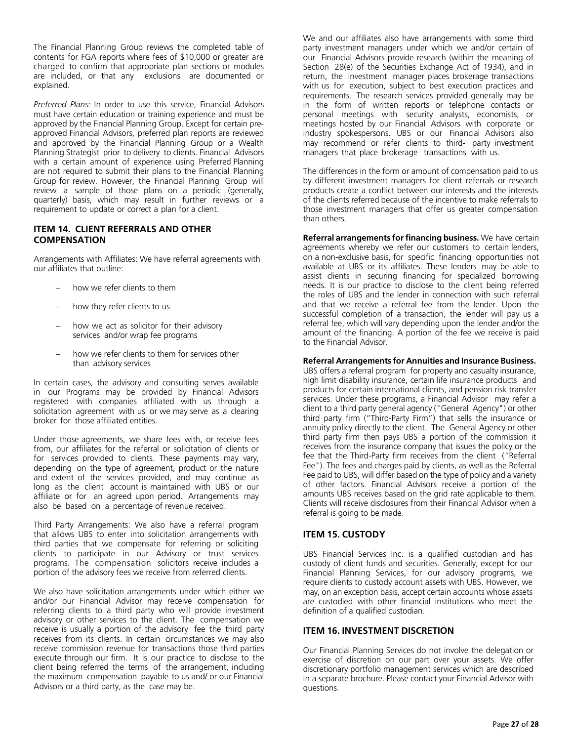The Financial Planning Group reviews the completed table of contents for FGA reports where fees of \$10,000 or greater are charged to confirm that appropriate plan sections or modules are included, or that any exclusions are documented or explained.

*Preferred Plans:* In order to use this service, Financial Advisors must have certain education or training experience and must be approved by the Financial Planning Group. Except for certain preapproved Financial Advisors, preferred plan reports are reviewed and approved by the Financial Planning Group or a Wealth Planning Strategist prior to delivery to clients. Financial Advisors with a certain amount of experience using Preferred Planning are not required to submit their plans to the Financial Planning Group for review. However, the Financial Planning Group will review a sample of those plans on a periodic (generally, quarterly) basis, which may result in further reviews or a requirement to update or correct a plan for a client.

# <span id="page-26-0"></span>**ITEM 14. CLIENT REFERRALS AND OTHER COMPENSATION**

Arrangements with Affiliates: We have referral agreements with our affiliates that outline:

- how we refer clients to them
- how they refer clients to us
- how we act as solicitor for their advisory services and/or wrap fee programs
- how we refer clients to them for services other than advisory services

In certain cases, the advisory and consulting serves available in our Programs may be provided by Financial Advisors registered with companies affiliated with us through a solicitation agreement with us or we may serve as a clearing broker for those affiliated entities.

Under those agreements, we share fees with, or receive fees from, our affiliates for the referral or solicitation of clients or for services provided to clients. These payments may vary, depending on the type of agreement, product or the nature and extent of the services provided, and may continue as long as the client account is maintained with UBS or our affiliate or for an agreed upon period. Arrangements may also be based on a percentage of revenue received.

Third Party Arrangements: We also have a referral program that allows UBS to enter into solicitation arrangements with third parties that we compensate for referring or soliciting clients to participate in our Advisory or trust services programs. The compensation solicitors receive includes a portion of the advisory fees we receive from referred clients.

We also have solicitation arrangements under which either we and/or our Financial Advisor may receive compensation for referring clients to a third party who will provide investment advisory or other services to the client. The compensation we receive is usually a portion of the advisory fee the third party receives from its clients. In certain circumstances we may also receive commission revenue for transactions those third parties execute through our firm. It is our practice to disclose to the client being referred the terms of the arrangement, including the maximum compensation payable to us and/ or our Financial Advisors or a third party, as the case may be.

We and our affiliates also have arrangements with some third party investment managers under which we and/or certain of our Financial Advisors provide research (within the meaning of Section 28(e) of the Securities Exchange Act of 1934), and in return, the investment manager places brokerage transactions with us for execution, subject to best execution practices and requirements. The research services provided generally may be in the form of written reports or telephone contacts or personal meetings with security analysts, economists, or meetings hosted by our Financial Advisors with corporate or industry spokespersons. UBS or our Financial Advisors also may recommend or refer clients to third- party investment managers that place brokerage transactions with us.

The differences in the form or amount of compensation paid to us by different investment managers for client referrals or research products create a conflict between our interests and the interests of the clients referred because of the incentive to make referrals to those investment managers that offer us greater compensation than others.

**Referral arrangements forfinancing business.** We have certain agreements whereby we refer our customers to certain lenders, on a non-exclusive basis, for specific financing opportunities not available at UBS or its affiliates. These lenders may be able to assist clients in securing financing for specialized borrowing needs. It is our practice to disclose to the client being referred the roles of UBS and the lender in connection with such referral and that we receive a referral fee from the lender. Upon the successful completion of a transaction, the lender will pay us a referral fee, which will vary depending upon the lender and/or the amount of the financing. A portion of the fee we receive is paid to the Financial Advisor.

### **Referral Arrangements for Annuities and Insurance Business.**

UBS offers a referral program for property and casualty insurance, high limit disability insurance, certain life insurance products and products for certain international clients, and pension risk transfer services. Under these programs, a Financial Advisor may refer a client to a third party general agency ("General Agency") or other third party firm ("Third-Party Firm") that sells the insurance or annuity policy directly to the client. The General Agency or other third party firm then pays UBS a portion of the commission it receives from the insurance company that issues the policy or the fee that the Third-Party firm receives from the client ("Referral Fee"). The fees and charges paid by clients, as well as the Referral Fee paid to UBS, will differ based on the type of policy and a variety of other factors. Financial Advisors receive a portion of the amounts UBS receives based on the grid rate applicable to them. Clients will receive disclosures from their Financial Advisor when a referral is going to be made.

# <span id="page-26-1"></span>**ITEM 15. CUSTODY**

UBS Financial Services Inc. is a qualified custodian and has custody of client funds and securities. Generally, except for our Financial Planning Services, for our advisory programs, we require clients to custody account assets with UBS. However, we may, on an exception basis, accept certain accounts whose assets are custodied with other financial institutions who meet the definition of a qualified custodian.

# <span id="page-26-2"></span>**ITEM 16. INVESTMENT DISCRETION**

Our Financial Planning Services do not involve the delegation or exercise of discretion on our part over your assets. We offer discretionary portfolio management services which are described in a separate brochure. Please contact your Financial Advisor with questions.